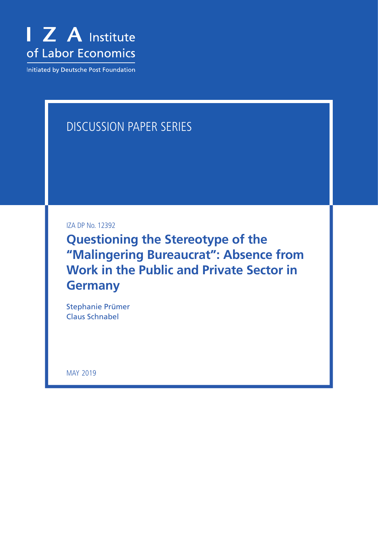

**Initiated by Deutsche Post Foundation** 

# DISCUSSION PAPER SERIES

IZA DP No. 12392

**Questioning the Stereotype of the "Malingering Bureaucrat": Absence from Work in the Public and Private Sector in Germany**

Stephanie Prümer Claus Schnabel

MAY 2019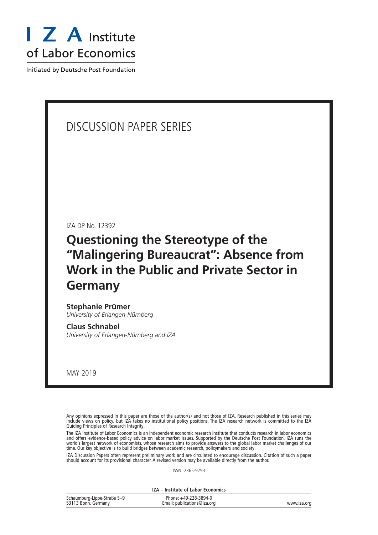

Initiated by Deutsche Post Foundation

# DISCUSSION PAPER SERIES

IZA DP No. 12392

# **Questioning the Stereotype of the "Malingering Bureaucrat": Absence from Work in the Public and Private Sector in Germany**

#### **Stephanie Prümer** *University of Erlangen-Nürnberg*

**Claus Schnabel**

*University of Erlangen-Nürnberg and IZA*

MAY 2019

Any opinions expressed in this paper are those of the author(s) and not those of IZA. Research published in this series may include views on policy, but IZA takes no institutional policy positions. The IZA research network is committed to the IZA Guiding Principles of Research Integrity.

The IZA Institute of Labor Economics is an independent economic research institute that conducts research in labor economics and offers evidence-based policy advice on labor market issues. Supported by the Deutsche Post Foundation, IZA runs the world's largest network of economists, whose research aims to provide answers to the global labor market challenges of our time. Our key objective is to build bridges between academic research, policymakers and society.

IZA Discussion Papers often represent preliminary work and are circulated to encourage discussion. Citation of such a paper should account for its provisional character. A revised version may be available directly from the author.

ISSN: 2365-9793

**IZA – Institute of Labor Economics**

| Schaumburg-Lippe-Straße 5-9 | Phone: +49-228-3894-0       |             |
|-----------------------------|-----------------------------|-------------|
| 53113 Bonn, Germany         | Email: publications@iza.org | www.iza.org |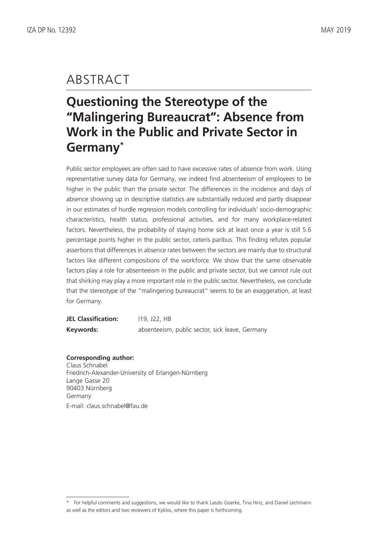# ABSTRACT

# **Questioning the Stereotype of the "Malingering Bureaucrat": Absence from Work in the Public and Private Sector in Germany\***

Public sector employees are often said to have excessive rates of absence from work. Using representative survey data for Germany, we indeed find absenteeism of employees to be higher in the public than the private sector. The differences in the incidence and days of absence showing up in descriptive statistics are substantially reduced and partly disappear in our estimates of hurdle regression models controlling for individuals' socio-demographic characteristics, health status, professional activities, and for many workplace-related factors. Nevertheless, the probability of staying home sick at least once a year is still 5.6 percentage points higher in the public sector, ceteris paribus. This finding refutes popular assertions that differences in absence rates between the sectors are mainly due to structural factors like different compositions of the workforce. We show that the same observable factors play a role for absenteeism in the public and private sector, but we cannot rule out that shirking may play a more important role in the public sector. Nevertheless, we conclude that the stereotype of the "malingering bureaucrat" seems to be an exaggeration, at least for Germany.

| <b>JEL Classification:</b> | $119.$ J22. H8                                  |
|----------------------------|-------------------------------------------------|
| Keywords:                  | absenteeism, public sector, sick leave, Germany |

#### **Corresponding author:**

Claus Schnabel Friedrich-Alexander-University of Erlangen-Nürnberg Lange Gasse 20 90403 Nürnberg Germany E-mail: claus.schnabel@fau.de

<sup>\*</sup> For helpful comments and suggestions, we would like to thank Laszlo Goerke, Tina Hinz, and Daniel Lechmann as well as the editors and two reviewers of Kyklos, where this paper is forthcoming.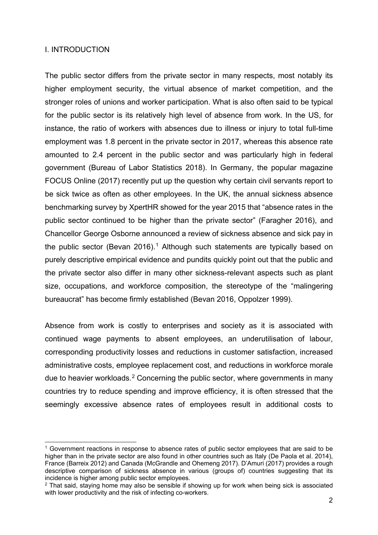#### I. INTRODUCTION

The public sector differs from the private sector in many respects, most notably its higher employment security, the virtual absence of market competition, and the stronger roles of unions and worker participation. What is also often said to be typical for the public sector is its relatively high level of absence from work. In the US, for instance, the ratio of workers with absences due to illness or injury to total full-time employment was 1.8 percent in the private sector in 2017, whereas this absence rate amounted to 2.4 percent in the public sector and was particularly high in federal government (Bureau of Labor Statistics 2018). In Germany, the popular magazine FOCUS Online (2017) recently put up the question why certain civil servants report to be sick twice as often as other employees. In the UK, the annual sickness absence benchmarking survey by XpertHR showed for the year 2015 that "absence rates in the public sector continued to be higher than the private sector" (Faragher 2016), and Chancellor George Osborne announced a review of sickness absence and sick pay in the public sector (Bevan 20[1](#page-3-0)6).<sup>1</sup> Although such statements are typically based on purely descriptive empirical evidence and pundits quickly point out that the public and the private sector also differ in many other sickness-relevant aspects such as plant size, occupations, and workforce composition, the stereotype of the "malingering bureaucrat" has become firmly established (Bevan 2016, Oppolzer 1999).

Absence from work is costly to enterprises and society as it is associated with continued wage payments to absent employees, an underutilisation of labour, corresponding productivity losses and reductions in customer satisfaction, increased administrative costs, employee replacement cost, and reductions in workforce morale due to heavier workloads.<sup>[2](#page-3-1)</sup> Concerning the public sector, where governments in many countries try to reduce spending and improve efficiency, it is often stressed that the seemingly excessive absence rates of employees result in additional costs to

<span id="page-3-0"></span> $1$  Government reactions in response to absence rates of public sector employees that are said to be higher than in the private sector are also found in other countries such as Italy (De Paola et al. 2014). France (Barreix 2012) and Canada (McGrandle and Ohemeng 2017). D'Amuri (2017) provides a rough descriptive comparison of sickness absence in various (groups of) countries suggesting that its incidence is higher among public sector employees.

<span id="page-3-1"></span> $2$  That said, staying home may also be sensible if showing up for work when being sick is associated with lower productivity and the risk of infecting co-workers.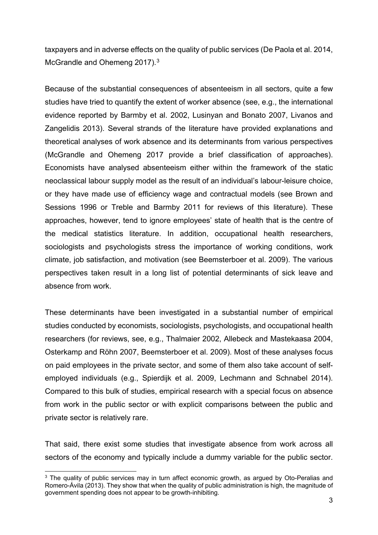taxpayers and in adverse effects on the quality of public services (De Paola et al. 2014, McGrandle and Ohemeng 2017).<sup>[3](#page-4-0)</sup>

Because of the substantial consequences of absenteeism in all sectors, quite a few studies have tried to quantify the extent of worker absence (see, e.g., the international evidence reported by Barmby et al. 2002, Lusinyan and Bonato 2007, Livanos and Zangelidis 2013). Several strands of the literature have provided explanations and theoretical analyses of work absence and its determinants from various perspectives (McGrandle and Ohemeng 2017 provide a brief classification of approaches). Economists have analysed absenteeism either within the framework of the static neoclassical labour supply model as the result of an individual's labour-leisure choice, or they have made use of efficiency wage and contractual models (see Brown and Sessions 1996 or Treble and Barmby 2011 for reviews of this literature). These approaches, however, tend to ignore employees' state of health that is the centre of the medical statistics literature. In addition, occupational health researchers, sociologists and psychologists stress the importance of working conditions, work climate, job satisfaction, and motivation (see Beemsterboer et al. 2009). The various perspectives taken result in a long list of potential determinants of sick leave and absence from work.

These determinants have been investigated in a substantial number of empirical studies conducted by economists, sociologists, psychologists, and occupational health researchers (for reviews, see, e.g., Thalmaier 2002, Allebeck and Mastekaasa 2004, Osterkamp and Röhn 2007, Beemsterboer et al. 2009). Most of these analyses focus on paid employees in the private sector, and some of them also take account of selfemployed individuals (e.g., Spierdijk et al. 2009, Lechmann and Schnabel 2014). Compared to this bulk of studies, empirical research with a special focus on absence from work in the public sector or with explicit comparisons between the public and private sector is relatively rare.

That said, there exist some studies that investigate absence from work across all sectors of the economy and typically include a dummy variable for the public sector.

<span id="page-4-0"></span> $3$  The quality of public services may in turn affect economic growth, as arqued by Oto-Peralias and Romero-Ávila (2013). They show that when the quality of public administration is high, the magnitude of government spending does not appear to be growth-inhibiting.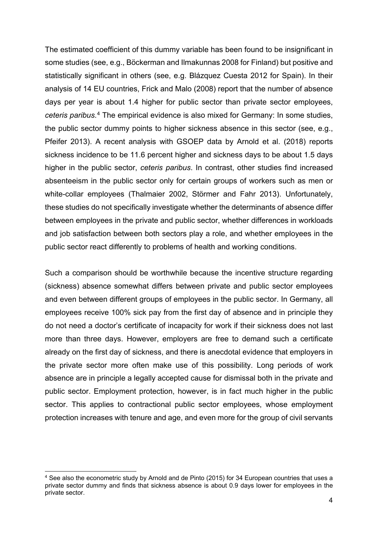The estimated coefficient of this dummy variable has been found to be insignificant in some studies (see, e.g., Böckerman and Ilmakunnas 2008 for Finland) but positive and statistically significant in others (see, e.g. Blázquez Cuesta 2012 for Spain). In their analysis of 14 EU countries, Frick and Malo (2008) report that the number of absence days per year is about 1.4 higher for public sector than private sector employees, *ceteris paribus*. [4](#page-5-0) The empirical evidence is also mixed for Germany: In some studies, the public sector dummy points to higher sickness absence in this sector (see, e.g., Pfeifer 2013). A recent analysis with GSOEP data by Arnold et al. (2018) reports sickness incidence to be 11.6 percent higher and sickness days to be about 1.5 days higher in the public sector, *ceteris paribus*. In contrast, other studies find increased absenteeism in the public sector only for certain groups of workers such as men or white-collar employees (Thalmaier 2002, Störmer and Fahr 2013). Unfortunately, these studies do not specifically investigate whether the determinants of absence differ between employees in the private and public sector, whether differences in workloads and job satisfaction between both sectors play a role, and whether employees in the public sector react differently to problems of health and working conditions.

Such a comparison should be worthwhile because the incentive structure regarding (sickness) absence somewhat differs between private and public sector employees and even between different groups of employees in the public sector. In Germany, all employees receive 100% sick pay from the first day of absence and in principle they do not need a doctor's certificate of incapacity for work if their sickness does not last more than three days. However, employers are free to demand such a certificate already on the first day of sickness, and there is anecdotal evidence that employers in the private sector more often make use of this possibility. Long periods of work absence are in principle a legally accepted cause for dismissal both in the private and public sector. Employment protection, however, is in fact much higher in the public sector. This applies to contractional public sector employees, whose employment protection increases with tenure and age, and even more for the group of civil servants

<span id="page-5-0"></span> <sup>4</sup> See also the econometric study by Arnold and de Pinto (2015) for 34 European countries that uses a private sector dummy and finds that sickness absence is about 0.9 days lower for employees in the private sector.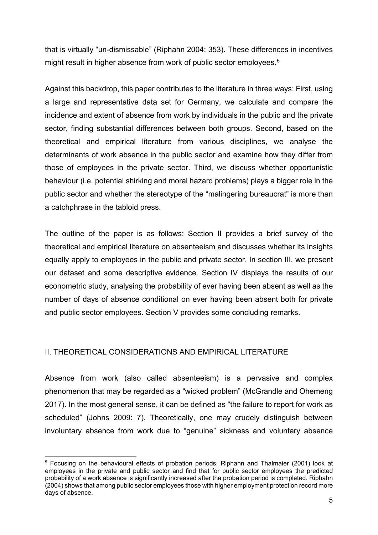that is virtually "un-dismissable" (Riphahn 2004: 353). These differences in incentives might result in higher absence from work of public sector emplovees.<sup>[5](#page-6-0)</sup>

Against this backdrop, this paper contributes to the literature in three ways: First, using a large and representative data set for Germany, we calculate and compare the incidence and extent of absence from work by individuals in the public and the private sector, finding substantial differences between both groups. Second, based on the theoretical and empirical literature from various disciplines, we analyse the determinants of work absence in the public sector and examine how they differ from those of employees in the private sector. Third, we discuss whether opportunistic behaviour (i.e. potential shirking and moral hazard problems) plays a bigger role in the public sector and whether the stereotype of the "malingering bureaucrat" is more than a catchphrase in the tabloid press.

The outline of the paper is as follows: Section II provides a brief survey of the theoretical and empirical literature on absenteeism and discusses whether its insights equally apply to employees in the public and private sector. In section III, we present our dataset and some descriptive evidence. Section IV displays the results of our econometric study, analysing the probability of ever having been absent as well as the number of days of absence conditional on ever having been absent both for private and public sector employees. Section V provides some concluding remarks.

### II. THEORETICAL CONSIDERATIONS AND EMPIRICAL LITERATURE

Absence from work (also called absenteeism) is a pervasive and complex phenomenon that may be regarded as a "wicked problem" (McGrandle and Ohemeng 2017). In the most general sense, it can be defined as "the failure to report for work as scheduled" (Johns 2009: 7). Theoretically, one may crudely distinguish between involuntary absence from work due to "genuine" sickness and voluntary absence

<span id="page-6-0"></span> <sup>5</sup> Focusing on the behavioural effects of probation periods, Riphahn and Thalmaier (2001) look at employees in the private and public sector and find that for public sector employees the predicted probability of a work absence is significantly increased after the probation period is completed. Riphahn (2004) shows that among public sector employees those with higher employment protection record more days of absence.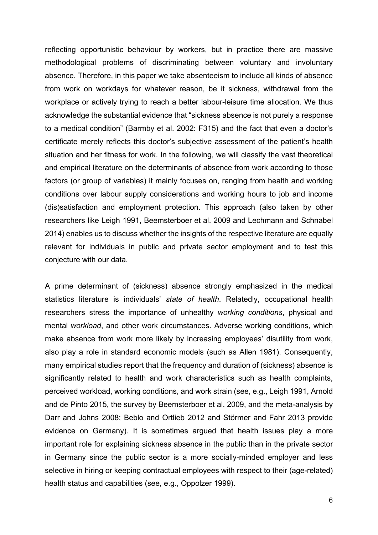reflecting opportunistic behaviour by workers, but in practice there are massive methodological problems of discriminating between voluntary and involuntary absence. Therefore, in this paper we take absenteeism to include all kinds of absence from work on workdays for whatever reason, be it sickness, withdrawal from the workplace or actively trying to reach a better labour-leisure time allocation. We thus acknowledge the substantial evidence that "sickness absence is not purely a response to a medical condition" (Barmby et al. 2002: F315) and the fact that even a doctor's certificate merely reflects this doctor's subjective assessment of the patient's health situation and her fitness for work. In the following, we will classify the vast theoretical and empirical literature on the determinants of absence from work according to those factors (or group of variables) it mainly focuses on, ranging from health and working conditions over labour supply considerations and working hours to job and income (dis)satisfaction and employment protection. This approach (also taken by other researchers like Leigh 1991, Beemsterboer et al. 2009 and Lechmann and Schnabel 2014) enables us to discuss whether the insights of the respective literature are equally relevant for individuals in public and private sector employment and to test this conjecture with our data.

A prime determinant of (sickness) absence strongly emphasized in the medical statistics literature is individuals' *state of health*. Relatedly, occupational health researchers stress the importance of unhealthy *working conditions*, physical and mental *workload*, and other work circumstances. Adverse working conditions, which make absence from work more likely by increasing employees' disutility from work, also play a role in standard economic models (such as Allen 1981). Consequently, many empirical studies report that the frequency and duration of (sickness) absence is significantly related to health and work characteristics such as health complaints, perceived workload, working conditions, and work strain (see, e.g., Leigh 1991, Arnold and de Pinto 2015, the survey by Beemsterboer et al. 2009, and the meta-analysis by Darr and Johns 2008; Beblo and Ortlieb 2012 and Störmer and Fahr 2013 provide evidence on Germany). It is sometimes argued that health issues play a more important role for explaining sickness absence in the public than in the private sector in Germany since the public sector is a more socially-minded employer and less selective in hiring or keeping contractual employees with respect to their (age-related) health status and capabilities (see, e.g., Oppolzer 1999).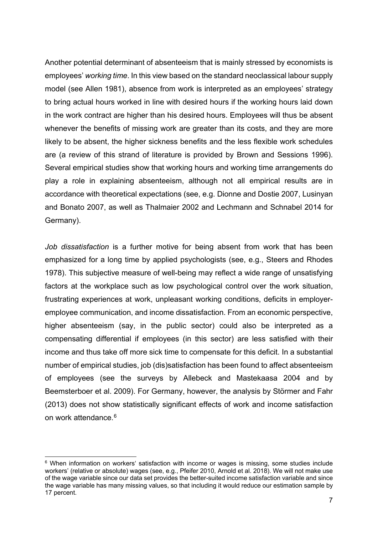Another potential determinant of absenteeism that is mainly stressed by economists is employees' *working time*. In this view based on the standard neoclassical labour supply model (see Allen 1981), absence from work is interpreted as an employees' strategy to bring actual hours worked in line with desired hours if the working hours laid down in the work contract are higher than his desired hours. Employees will thus be absent whenever the benefits of missing work are greater than its costs, and they are more likely to be absent, the higher sickness benefits and the less flexible work schedules are (a review of this strand of literature is provided by Brown and Sessions 1996). Several empirical studies show that working hours and working time arrangements do play a role in explaining absenteeism, although not all empirical results are in accordance with theoretical expectations (see, e.g. Dionne and Dostie 2007, Lusinyan and Bonato 2007, as well as Thalmaier 2002 and Lechmann and Schnabel 2014 for Germany).

*Job dissatisfaction* is a further motive for being absent from work that has been emphasized for a long time by applied psychologists (see, e.g., Steers and Rhodes 1978). This subjective measure of well-being may reflect a wide range of unsatisfying factors at the workplace such as low psychological control over the work situation, frustrating experiences at work, unpleasant working conditions, deficits in employeremployee communication, and income dissatisfaction. From an economic perspective, higher absenteeism (say, in the public sector) could also be interpreted as a compensating differential if employees (in this sector) are less satisfied with their income and thus take off more sick time to compensate for this deficit. In a substantial number of empirical studies, job (dis)satisfaction has been found to affect absenteeism of employees (see the surveys by Allebeck and Mastekaasa 2004 and by Beemsterboer et al. 2009). For Germany, however, the analysis by Störmer and Fahr (2013) does not show statistically significant effects of work and income satisfaction on work attendance.<sup>[6](#page-8-0)</sup>

<span id="page-8-0"></span><sup>&</sup>lt;sup>6</sup> When information on workers' satisfaction with income or wages is missing, some studies include workers' (relative or absolute) wages (see, e.g., Pfeifer 2010, Arnold et al. 2018). We will not make use of the wage variable since our data set provides the better-suited income satisfaction variable and since the wage variable has many missing values, so that including it would reduce our estimation sample by 17 percent.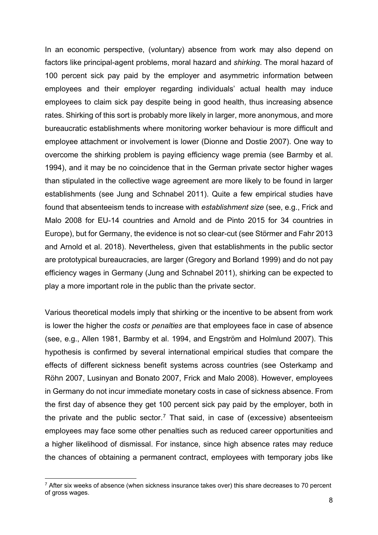In an economic perspective, (voluntary) absence from work may also depend on factors like principal-agent problems, moral hazard and *shirking*. The moral hazard of 100 percent sick pay paid by the employer and asymmetric information between employees and their employer regarding individuals' actual health may induce employees to claim sick pay despite being in good health, thus increasing absence rates. Shirking of this sort is probably more likely in larger, more anonymous, and more bureaucratic establishments where monitoring worker behaviour is more difficult and employee attachment or involvement is lower (Dionne and Dostie 2007). One way to overcome the shirking problem is paying efficiency wage premia (see Barmby et al. 1994), and it may be no coincidence that in the German private sector higher wages than stipulated in the collective wage agreement are more likely to be found in larger establishments (see Jung and Schnabel 2011). Quite a few empirical studies have found that absenteeism tends to increase with *establishment size* (see, e.g., Frick and Malo 2008 for EU-14 countries and Arnold and de Pinto 2015 for 34 countries in Europe), but for Germany, the evidence is not so clear-cut (see Störmer and Fahr 2013 and Arnold et al. 2018). Nevertheless, given that establishments in the public sector are prototypical bureaucracies, are larger (Gregory and Borland 1999) and do not pay efficiency wages in Germany (Jung and Schnabel 2011), shirking can be expected to play a more important role in the public than the private sector.

Various theoretical models imply that shirking or the incentive to be absent from work is lower the higher the *costs* or *penalties* are that employees face in case of absence (see, e.g., Allen 1981, Barmby et al. 1994, and Engström and Holmlund 2007). This hypothesis is confirmed by several international empirical studies that compare the effects of different sickness benefit systems across countries (see Osterkamp and Röhn 2007, Lusinyan and Bonato 2007, Frick and Malo 2008). However, employees in Germany do not incur immediate monetary costs in case of sickness absence. From the first day of absence they get 100 percent sick pay paid by the employer, both in the private and the public sector. [7](#page-9-0) That said, in case of (excessive) absenteeism employees may face some other penalties such as reduced career opportunities and a higher likelihood of dismissal. For instance, since high absence rates may reduce the chances of obtaining a permanent contract, employees with temporary jobs like

<span id="page-9-0"></span> $7$  After six weeks of absence (when sickness insurance takes over) this share decreases to 70 percent of gross wages.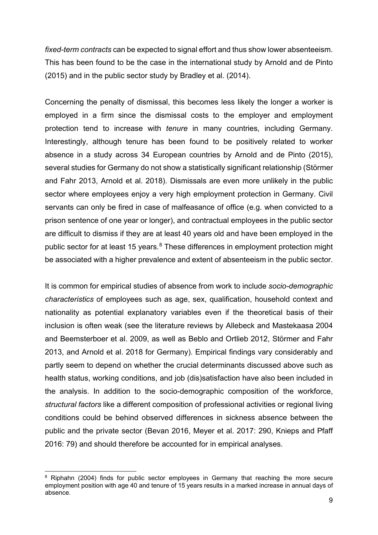*fixed-term contracts* can be expected to signal effort and thus show lower absenteeism. This has been found to be the case in the international study by Arnold and de Pinto (2015) and in the public sector study by Bradley et al. (2014).

Concerning the penalty of dismissal, this becomes less likely the longer a worker is employed in a firm since the dismissal costs to the employer and employment protection tend to increase with *tenure* in many countries, including Germany. Interestingly, although tenure has been found to be positively related to worker absence in a study across 34 European countries by Arnold and de Pinto (2015), several studies for Germany do not show a statistically significant relationship (Störmer and Fahr 2013, Arnold et al. 2018). Dismissals are even more unlikely in the public sector where employees enjoy a very high employment protection in Germany. Civil servants can only be fired in case of malfeasance of office (e.g. when convicted to a prison sentence of one year or longer), and contractual employees in the public sector are difficult to dismiss if they are at least 40 years old and have been employed in the public sector for at least 15 years.<sup>[8](#page-10-0)</sup> These differences in employment protection might be associated with a higher prevalence and extent of absenteeism in the public sector.

It is common for empirical studies of absence from work to include *socio-demographic characteristics* of employees such as age, sex, qualification, household context and nationality as potential explanatory variables even if the theoretical basis of their inclusion is often weak (see the literature reviews by Allebeck and Mastekaasa 2004 and Beemsterboer et al. 2009, as well as Beblo and Ortlieb 2012, Störmer and Fahr 2013, and Arnold et al. 2018 for Germany). Empirical findings vary considerably and partly seem to depend on whether the crucial determinants discussed above such as health status, working conditions, and job (dis)satisfaction have also been included in the analysis. In addition to the socio-demographic composition of the workforce, *structural factors* like a different composition of professional activities or regional living conditions could be behind observed differences in sickness absence between the public and the private sector (Bevan 2016, Meyer et al. 2017: 290, Knieps and Pfaff 2016: 79) and should therefore be accounted for in empirical analyses.

<span id="page-10-0"></span><sup>&</sup>lt;sup>8</sup> Riphahn (2004) finds for public sector employees in Germany that reaching the more secure employment position with age 40 and tenure of 15 years results in a marked increase in annual days of absence.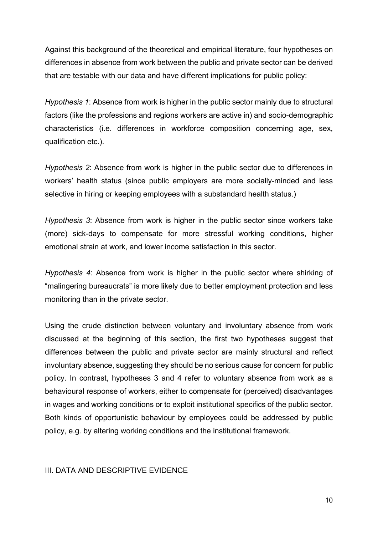Against this background of the theoretical and empirical literature, four hypotheses on differences in absence from work between the public and private sector can be derived that are testable with our data and have different implications for public policy:

*Hypothesis 1*: Absence from work is higher in the public sector mainly due to structural factors (like the professions and regions workers are active in) and socio-demographic characteristics (i.e. differences in workforce composition concerning age, sex, qualification etc.).

*Hypothesis 2*: Absence from work is higher in the public sector due to differences in workers' health status (since public employers are more socially-minded and less selective in hiring or keeping employees with a substandard health status.)

*Hypothesis 3*: Absence from work is higher in the public sector since workers take (more) sick-days to compensate for more stressful working conditions, higher emotional strain at work, and lower income satisfaction in this sector.

*Hypothesis 4*: Absence from work is higher in the public sector where shirking of "malingering bureaucrats" is more likely due to better employment protection and less monitoring than in the private sector.

Using the crude distinction between voluntary and involuntary absence from work discussed at the beginning of this section, the first two hypotheses suggest that differences between the public and private sector are mainly structural and reflect involuntary absence, suggesting they should be no serious cause for concern for public policy. In contrast, hypotheses 3 and 4 refer to voluntary absence from work as a behavioural response of workers, either to compensate for (perceived) disadvantages in wages and working conditions or to exploit institutional specifics of the public sector. Both kinds of opportunistic behaviour by employees could be addressed by public policy, e.g. by altering working conditions and the institutional framework.

#### III. DATA AND DESCRIPTIVE EVIDENCE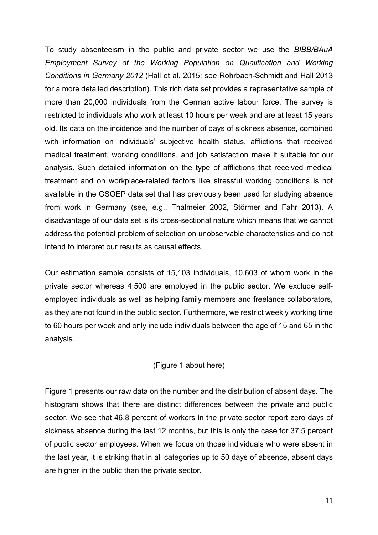To study absenteeism in the public and private sector we use the *BIBB/BAuA Employment Survey of the Working Population on Qualification and Working Conditions in Germany 2012* (Hall et al. 2015; see Rohrbach-Schmidt and Hall 2013 for a more detailed description). This rich data set provides a representative sample of more than 20,000 individuals from the German active labour force. The survey is restricted to individuals who work at least 10 hours per week and are at least 15 years old. Its data on the incidence and the number of days of sickness absence, combined with information on individuals' subjective health status, afflictions that received medical treatment, working conditions, and job satisfaction make it suitable for our analysis. Such detailed information on the type of afflictions that received medical treatment and on workplace-related factors like stressful working conditions is not available in the GSOEP data set that has previously been used for studying absence from work in Germany (see, e.g., Thalmeier 2002, Störmer and Fahr 2013). A disadvantage of our data set is its cross-sectional nature which means that we cannot address the potential problem of selection on unobservable characteristics and do not intend to interpret our results as causal effects.

Our estimation sample consists of 15,103 individuals, 10,603 of whom work in the private sector whereas 4,500 are employed in the public sector. We exclude selfemployed individuals as well as helping family members and freelance collaborators, as they are not found in the public sector. Furthermore, we restrict weekly working time to 60 hours per week and only include individuals between the age of 15 and 65 in the analysis.

#### (Figure 1 about here)

Figure 1 presents our raw data on the number and the distribution of absent days. The histogram shows that there are distinct differences between the private and public sector. We see that 46.8 percent of workers in the private sector report zero days of sickness absence during the last 12 months, but this is only the case for 37.5 percent of public sector employees. When we focus on those individuals who were absent in the last year, it is striking that in all categories up to 50 days of absence, absent days are higher in the public than the private sector.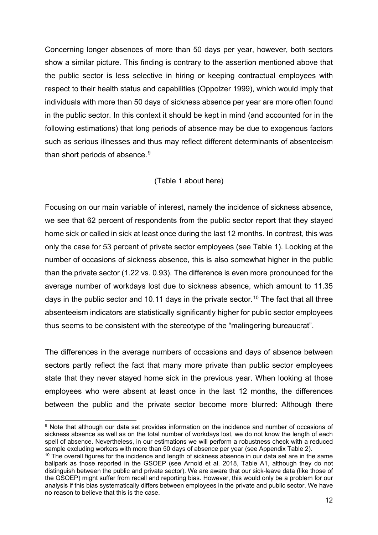Concerning longer absences of more than 50 days per year, however, both sectors show a similar picture. This finding is contrary to the assertion mentioned above that the public sector is less selective in hiring or keeping contractual employees with respect to their health status and capabilities (Oppolzer 1999), which would imply that individuals with more than 50 days of sickness absence per year are more often found in the public sector. In this context it should be kept in mind (and accounted for in the following estimations) that long periods of absence may be due to exogenous factors such as serious illnesses and thus may reflect different determinants of absenteeism than short periods of absence. [9](#page-13-0)

### (Table 1 about here)

Focusing on our main variable of interest, namely the incidence of sickness absence, we see that 62 percent of respondents from the public sector report that they stayed home sick or called in sick at least once during the last 12 months. In contrast, this was only the case for 53 percent of private sector employees (see Table 1). Looking at the number of occasions of sickness absence, this is also somewhat higher in the public than the private sector (1.22 vs. 0.93). The difference is even more pronounced for the average number of workdays lost due to sickness absence, which amount to 11.35 days in the public sector and [10](#page-13-1).11 days in the private sector.<sup>10</sup> The fact that all three absenteeism indicators are statistically significantly higher for public sector employees thus seems to be consistent with the stereotype of the "malingering bureaucrat".

The differences in the average numbers of occasions and days of absence between sectors partly reflect the fact that many more private than public sector employees state that they never stayed home sick in the previous year. When looking at those employees who were absent at least once in the last 12 months, the differences between the public and the private sector become more blurred: Although there

<span id="page-13-0"></span><sup>&</sup>lt;sup>9</sup> Note that although our data set provides information on the incidence and number of occasions of sickness absence as well as on the total number of workdays lost, we do not know the length of each spell of absence. Nevertheless, in our estimations we will perform a robustness check with a reduced sample excluding workers with more than 50 days of absence per year (see Appendix Table 2).

<span id="page-13-1"></span><sup>&</sup>lt;sup>10</sup> The overall figures for the incidence and length of sickness absence in our data set are in the same ballpark as those reported in the GSOEP (see Arnold et al. 2018, Table A1, although they do not distinguish between the public and private sector). We are aware that our sick-leave data (like those of the GSOEP) might suffer from recall and reporting bias. However, this would only be a problem for our analysis if this bias systematically differs between employees in the private and public sector. We have no reason to believe that this is the case.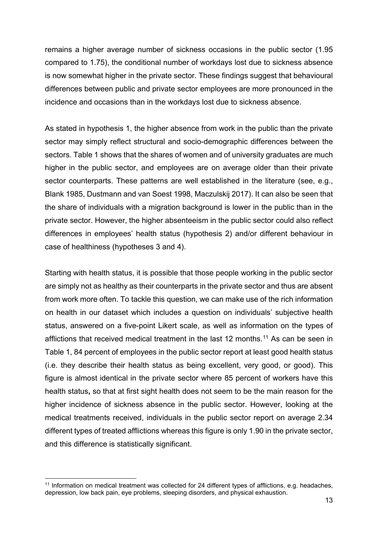remains a higher average number of sickness occasions in the public sector (1.95 compared to 1.75), the conditional number of workdays lost due to sickness absence is now somewhat higher in the private sector. These findings suggest that behavioural differences between public and private sector employees are more pronounced in the incidence and occasions than in the workdays lost due to sickness absence.

As stated in hypothesis 1, the higher absence from work in the public than the private sector may simply reflect structural and socio-demographic differences between the sectors. Table 1 shows that the shares of women and of university graduates are much higher in the public sector, and employees are on average older than their private sector counterparts. These patterns are well established in the literature (see, e.g., Blank 1985, Dustmann and van Soest 1998, Maczulskij 2017). It can also be seen that the share of individuals with a migration background is lower in the public than in the private sector. However, the higher absenteeism in the public sector could also reflect differences in employees' health status (hypothesis 2) and/or different behaviour in case of healthiness (hypotheses 3 and 4).

Starting with health status, it is possible that those people working in the public sector are simply not as healthy as their counterparts in the private sector and thus are absent from work more often. To tackle this question, we can make use of the rich information on health in our dataset which includes a question on individuals' subjective health status, answered on a five-point Likert scale, as well as information on the types of afflictions that received medical treatment in the last 12 months.<sup>[11](#page-14-0)</sup> As can be seen in Table 1, 84 percent of employees in the public sector report at least good health status (i.e. they describe their health status as being excellent, very good, or good). This figure is almost identical in the private sector where 85 percent of workers have this health status**,** so that at first sight health does not seem to be the main reason for the higher incidence of sickness absence in the public sector. However, looking at the medical treatments received, individuals in the public sector report on average 2.34 different types of treated afflictions whereas this figure is only 1.90 in the private sector, and this difference is statistically significant.

<span id="page-14-0"></span><sup>&</sup>lt;sup>11</sup> Information on medical treatment was collected for 24 different types of afflictions, e.g. headaches, depression, low back pain, eye problems, sleeping disorders, and physical exhaustion.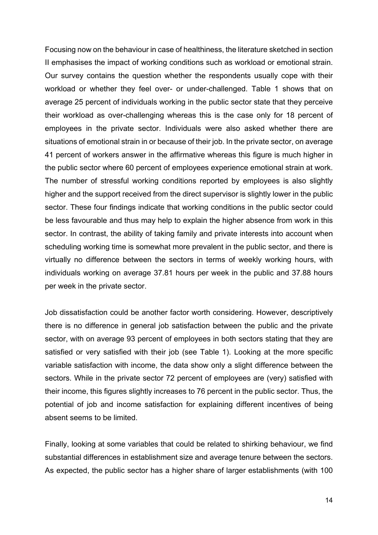Focusing now on the behaviour in case of healthiness, the literature sketched in section II emphasises the impact of working conditions such as workload or emotional strain. Our survey contains the question whether the respondents usually cope with their workload or whether they feel over- or under-challenged. Table 1 shows that on average 25 percent of individuals working in the public sector state that they perceive their workload as over-challenging whereas this is the case only for 18 percent of employees in the private sector. Individuals were also asked whether there are situations of emotional strain in or because of their job. In the private sector, on average 41 percent of workers answer in the affirmative whereas this figure is much higher in the public sector where 60 percent of employees experience emotional strain at work. The number of stressful working conditions reported by employees is also slightly higher and the support received from the direct supervisor is slightly lower in the public sector. These four findings indicate that working conditions in the public sector could be less favourable and thus may help to explain the higher absence from work in this sector. In contrast, the ability of taking family and private interests into account when scheduling working time is somewhat more prevalent in the public sector, and there is virtually no difference between the sectors in terms of weekly working hours, with individuals working on average 37.81 hours per week in the public and 37.88 hours per week in the private sector.

Job dissatisfaction could be another factor worth considering. However, descriptively there is no difference in general job satisfaction between the public and the private sector, with on average 93 percent of employees in both sectors stating that they are satisfied or very satisfied with their job (see Table 1). Looking at the more specific variable satisfaction with income, the data show only a slight difference between the sectors. While in the private sector 72 percent of employees are (very) satisfied with their income, this figures slightly increases to 76 percent in the public sector. Thus, the potential of job and income satisfaction for explaining different incentives of being absent seems to be limited.

Finally, looking at some variables that could be related to shirking behaviour, we find substantial differences in establishment size and average tenure between the sectors. As expected, the public sector has a higher share of larger establishments (with 100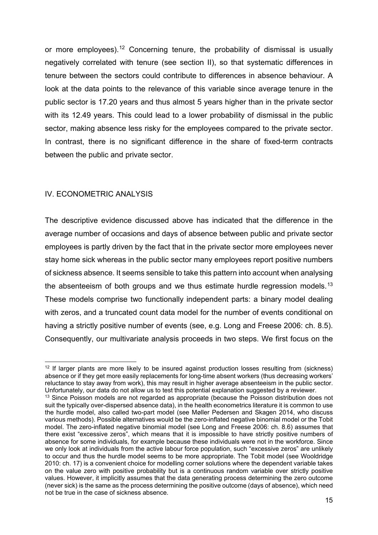or more employees).<sup>[12](#page-16-0)</sup> Concerning tenure, the probability of dismissal is usually negatively correlated with tenure (see section II), so that systematic differences in tenure between the sectors could contribute to differences in absence behaviour. A look at the data points to the relevance of this variable since average tenure in the public sector is 17.20 years and thus almost 5 years higher than in the private sector with its 12.49 years. This could lead to a lower probability of dismissal in the public sector, making absence less risky for the employees compared to the private sector. In contrast, there is no significant difference in the share of fixed-term contracts between the public and private sector.

#### IV. ECONOMETRIC ANALYSIS

The descriptive evidence discussed above has indicated that the difference in the average number of occasions and days of absence between public and private sector employees is partly driven by the fact that in the private sector more employees never stay home sick whereas in the public sector many employees report positive numbers of sickness absence. It seems sensible to take this pattern into account when analysing the absenteeism of both groups and we thus estimate hurdle regression models.<sup>[13](#page-16-1)</sup> These models comprise two functionally independent parts: a binary model dealing with zeros, and a truncated count data model for the number of events conditional on having a strictly positive number of events (see, e.g. Long and Freese 2006: ch. 8.5). Consequently, our multivariate analysis proceeds in two steps. We first focus on the

<span id="page-16-0"></span> $12$  If larger plants are more likely to be insured against production losses resulting from (sickness) absence or if they get more easily replacements for long-time absent workers (thus decreasing workers' reluctance to stay away from work), this may result in higher average absenteeism in the public sector. Unfortunately, our data do not allow us to test this potential explanation suggested by a reviewer.

<span id="page-16-1"></span><sup>&</sup>lt;sup>13</sup> Since Poisson models are not regarded as appropriate (because the Poisson distribution does not suit the typically over-dispersed absence data), in the health econometrics literature it is common to use the hurdle model, also called two-part model (see Møller Pedersen and Skagen 2014, who discuss various methods). Possible alternatives would be the zero-inflated negative binomial model or the Tobit model. The zero-inflated negative binomial model (see Long and Freese 2006: ch. 8.6) assumes that there exist "excessive zeros", which means that it is impossible to have strictly positive numbers of absence for some individuals, for example because these individuals were not in the workforce. Since we only look at individuals from the active labour force population, such "excessive zeros" are unlikely to occur and thus the hurdle model seems to be more appropriate. The Tobit model (see Wooldridge 2010: ch. 17) is a convenient choice for modelling corner solutions where the dependent variable takes on the value zero with positive probability but is a continuous random variable over strictly positive values. However, it implicitly assumes that the data generating process determining the zero outcome (never sick) is the same as the process determining the positive outcome (days of absence), which need not be true in the case of sickness absence.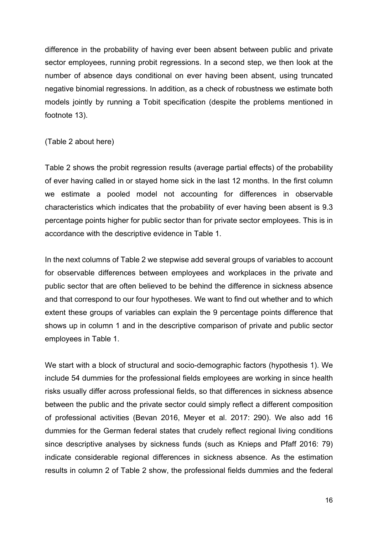difference in the probability of having ever been absent between public and private sector employees, running probit regressions. In a second step, we then look at the number of absence days conditional on ever having been absent, using truncated negative binomial regressions. In addition, as a check of robustness we estimate both models jointly by running a Tobit specification (despite the problems mentioned in footnote 13).

(Table 2 about here)

Table 2 shows the probit regression results (average partial effects) of the probability of ever having called in or stayed home sick in the last 12 months. In the first column we estimate a pooled model not accounting for differences in observable characteristics which indicates that the probability of ever having been absent is 9.3 percentage points higher for public sector than for private sector employees. This is in accordance with the descriptive evidence in Table 1.

In the next columns of Table 2 we stepwise add several groups of variables to account for observable differences between employees and workplaces in the private and public sector that are often believed to be behind the difference in sickness absence and that correspond to our four hypotheses. We want to find out whether and to which extent these groups of variables can explain the 9 percentage points difference that shows up in column 1 and in the descriptive comparison of private and public sector employees in Table 1.

We start with a block of structural and socio-demographic factors (hypothesis 1). We include 54 dummies for the professional fields employees are working in since health risks usually differ across professional fields, so that differences in sickness absence between the public and the private sector could simply reflect a different composition of professional activities (Bevan 2016, Meyer et al. 2017: 290). We also add 16 dummies for the German federal states that crudely reflect regional living conditions since descriptive analyses by sickness funds (such as Knieps and Pfaff 2016: 79) indicate considerable regional differences in sickness absence. As the estimation results in column 2 of Table 2 show, the professional fields dummies and the federal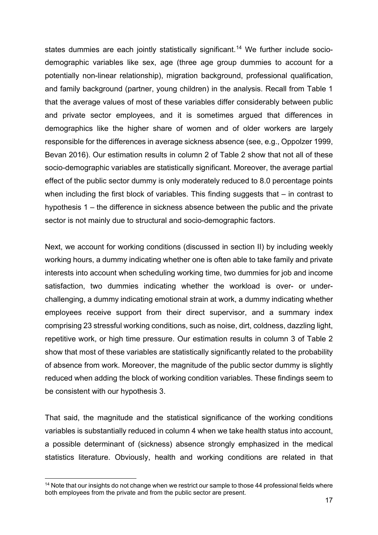states dummies are each jointly statistically significant. [14](#page-18-0) We further include sociodemographic variables like sex, age (three age group dummies to account for a potentially non-linear relationship), migration background, professional qualification, and family background (partner, young children) in the analysis. Recall from Table 1 that the average values of most of these variables differ considerably between public and private sector employees, and it is sometimes argued that differences in demographics like the higher share of women and of older workers are largely responsible for the differences in average sickness absence (see, e.g., Oppolzer 1999, Bevan 2016). Our estimation results in column 2 of Table 2 show that not all of these socio-demographic variables are statistically significant. Moreover, the average partial effect of the public sector dummy is only moderately reduced to 8.0 percentage points when including the first block of variables. This finding suggests that – in contrast to hypothesis 1 – the difference in sickness absence between the public and the private sector is not mainly due to structural and socio-demographic factors.

Next, we account for working conditions (discussed in section II) by including weekly working hours, a dummy indicating whether one is often able to take family and private interests into account when scheduling working time, two dummies for job and income satisfaction, two dummies indicating whether the workload is over- or underchallenging, a dummy indicating emotional strain at work, a dummy indicating whether employees receive support from their direct supervisor, and a summary index comprising 23 stressful working conditions, such as noise, dirt, coldness, dazzling light, repetitive work, or high time pressure. Our estimation results in column 3 of Table 2 show that most of these variables are statistically significantly related to the probability of absence from work. Moreover, the magnitude of the public sector dummy is slightly reduced when adding the block of working condition variables. These findings seem to be consistent with our hypothesis 3.

That said, the magnitude and the statistical significance of the working conditions variables is substantially reduced in column 4 when we take health status into account, a possible determinant of (sickness) absence strongly emphasized in the medical statistics literature. Obviously, health and working conditions are related in that

<span id="page-18-0"></span><sup>&</sup>lt;sup>14</sup> Note that our insights do not change when we restrict our sample to those 44 professional fields where both employees from the private and from the public sector are present.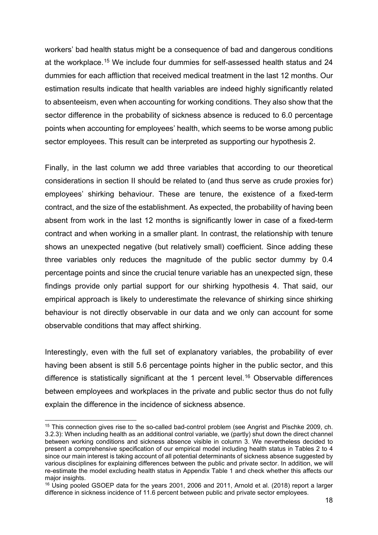workers' bad health status might be a consequence of bad and dangerous conditions at the workplace.<sup>[15](#page-19-0)</sup> We include four dummies for self-assessed health status and 24 dummies for each affliction that received medical treatment in the last 12 months. Our estimation results indicate that health variables are indeed highly significantly related to absenteeism, even when accounting for working conditions. They also show that the sector difference in the probability of sickness absence is reduced to 6.0 percentage points when accounting for employees' health, which seems to be worse among public sector employees. This result can be interpreted as supporting our hypothesis 2.

Finally, in the last column we add three variables that according to our theoretical considerations in section II should be related to (and thus serve as crude proxies for) employees' shirking behaviour. These are tenure, the existence of a fixed-term contract, and the size of the establishment. As expected, the probability of having been absent from work in the last 12 months is significantly lower in case of a fixed-term contract and when working in a smaller plant. In contrast, the relationship with tenure shows an unexpected negative (but relatively small) coefficient. Since adding these three variables only reduces the magnitude of the public sector dummy by 0.4 percentage points and since the crucial tenure variable has an unexpected sign, these findings provide only partial support for our shirking hypothesis 4. That said, our empirical approach is likely to underestimate the relevance of shirking since shirking behaviour is not directly observable in our data and we only can account for some observable conditions that may affect shirking.

Interestingly, even with the full set of explanatory variables, the probability of ever having been absent is still 5.6 percentage points higher in the public sector, and this difference is statistically significant at the 1 percent level.<sup>[16](#page-19-1)</sup> Observable differences between employees and workplaces in the private and public sector thus do not fully explain the difference in the incidence of sickness absence.

<span id="page-19-0"></span><sup>&</sup>lt;sup>15</sup> This connection gives rise to the so-called bad-control problem (see Angrist and Pischke 2009, ch. 3.2.3): When including health as an additional control variable, we (partly) shut down the direct channel between working conditions and sickness absence visible in column 3. We nevertheless decided to present a comprehensive specification of our empirical model including health status in Tables 2 to 4 since our main interest is taking account of all potential determinants of sickness absence suggested by various disciplines for explaining differences between the public and private sector. In addition, we will re-estimate the model excluding health status in Appendix Table 1 and check whether this affects our major insights.

<span id="page-19-1"></span><sup>&</sup>lt;sup>16</sup> Using pooled GSOEP data for the years 2001, 2006 and 2011, Arnold et al. (2018) report a larger difference in sickness incidence of 11.6 percent between public and private sector employees.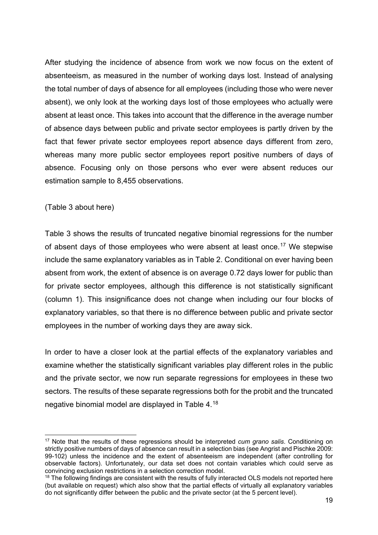After studying the incidence of absence from work we now focus on the extent of absenteeism, as measured in the number of working days lost. Instead of analysing the total number of days of absence for all employees (including those who were never absent), we only look at the working days lost of those employees who actually were absent at least once. This takes into account that the difference in the average number of absence days between public and private sector employees is partly driven by the fact that fewer private sector employees report absence days different from zero, whereas many more public sector employees report positive numbers of days of absence. Focusing only on those persons who ever were absent reduces our estimation sample to 8,455 observations.

#### (Table 3 about here)

Table 3 shows the results of truncated negative binomial regressions for the number of absent days of those employees who were absent at least once. [17](#page-20-0) We stepwise include the same explanatory variables as in Table 2. Conditional on ever having been absent from work, the extent of absence is on average 0.72 days lower for public than for private sector employees, although this difference is not statistically significant (column 1). This insignificance does not change when including our four blocks of explanatory variables, so that there is no difference between public and private sector employees in the number of working days they are away sick.

In order to have a closer look at the partial effects of the explanatory variables and examine whether the statistically significant variables play different roles in the public and the private sector, we now run separate regressions for employees in these two sectors. The results of these separate regressions both for the probit and the truncated negative binomial model are displayed in Table 4. [18](#page-20-1)

<span id="page-20-0"></span> <sup>17</sup> Note that the results of these regressions should be interpreted *cum grano salis*. Conditioning on strictly positive numbers of days of absence can result in a selection bias (see Angrist and Pischke 2009: 99-102) unless the incidence and the extent of absenteeism are independent (after controlling for observable factors). Unfortunately, our data set does not contain variables which could serve as convincing exclusion restrictions in a selection correction model.

<span id="page-20-1"></span><sup>&</sup>lt;sup>18</sup> The following findings are consistent with the results of fully interacted OLS models not reported here (but available on request) which also show that the partial effects of virtually all explanatory variables do not significantly differ between the public and the private sector (at the 5 percent level).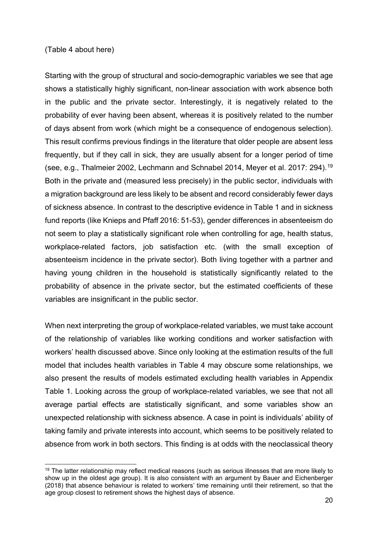#### (Table 4 about here)

Starting with the group of structural and socio-demographic variables we see that age shows a statistically highly significant, non-linear association with work absence both in the public and the private sector. Interestingly, it is negatively related to the probability of ever having been absent, whereas it is positively related to the number of days absent from work (which might be a consequence of endogenous selection). This result confirms previous findings in the literature that older people are absent less frequently, but if they call in sick, they are usually absent for a longer period of time (see, e.g., Thalmeier 2002, Lechmann and Schnabel 2014, Meyer et al. 2017: 294).[19](#page-21-0) Both in the private and (measured less precisely) in the public sector, individuals with a migration background are less likely to be absent and record considerably fewer days of sickness absence. In contrast to the descriptive evidence in Table 1 and in sickness fund reports (like Knieps and Pfaff 2016: 51-53), gender differences in absenteeism do not seem to play a statistically significant role when controlling for age, health status, workplace-related factors, job satisfaction etc. (with the small exception of absenteeism incidence in the private sector). Both living together with a partner and having young children in the household is statistically significantly related to the probability of absence in the private sector, but the estimated coefficients of these variables are insignificant in the public sector.

When next interpreting the group of workplace-related variables, we must take account of the relationship of variables like working conditions and worker satisfaction with workers' health discussed above. Since only looking at the estimation results of the full model that includes health variables in Table 4 may obscure some relationships, we also present the results of models estimated excluding health variables in Appendix Table 1. Looking across the group of workplace-related variables, we see that not all average partial effects are statistically significant, and some variables show an unexpected relationship with sickness absence. A case in point is individuals' ability of taking family and private interests into account, which seems to be positively related to absence from work in both sectors. This finding is at odds with the neoclassical theory

<span id="page-21-0"></span> $19$  The latter relationship may reflect medical reasons (such as serious illnesses that are more likely to show up in the oldest age group). It is also consistent with an argument by Bauer and Eichenberger (2018) that absence behaviour is related to workers' time remaining until their retirement, so that the age group closest to retirement shows the highest days of absence.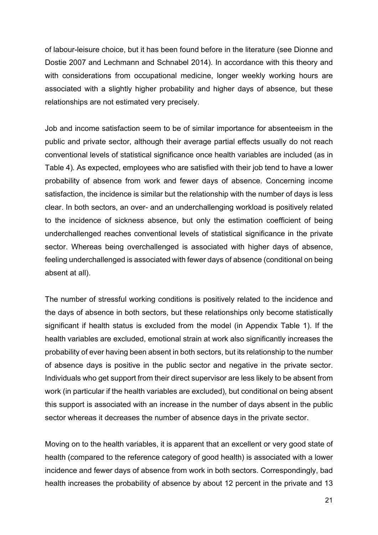of labour-leisure choice, but it has been found before in the literature (see Dionne and Dostie 2007 and Lechmann and Schnabel 2014). In accordance with this theory and with considerations from occupational medicine, longer weekly working hours are associated with a slightly higher probability and higher days of absence, but these relationships are not estimated very precisely.

Job and income satisfaction seem to be of similar importance for absenteeism in the public and private sector, although their average partial effects usually do not reach conventional levels of statistical significance once health variables are included (as in Table 4)*.* As expected, employees who are satisfied with their job tend to have a lower probability of absence from work and fewer days of absence. Concerning income satisfaction, the incidence is similar but the relationship with the number of days is less clear. In both sectors, an over- and an underchallenging workload is positively related to the incidence of sickness absence, but only the estimation coefficient of being underchallenged reaches conventional levels of statistical significance in the private sector. Whereas being overchallenged is associated with higher days of absence, feeling underchallenged is associated with fewer days of absence (conditional on being absent at all).

The number of stressful working conditions is positively related to the incidence and the days of absence in both sectors, but these relationships only become statistically significant if health status is excluded from the model (in Appendix Table 1). If the health variables are excluded, emotional strain at work also significantly increases the probability of ever having been absent in both sectors, but its relationship to the number of absence days is positive in the public sector and negative in the private sector. Individuals who get support from their direct supervisor are less likely to be absent from work (in particular if the health variables are excluded)*,* but conditional on being absent this support is associated with an increase in the number of days absent in the public sector whereas it decreases the number of absence days in the private sector.

Moving on to the health variables, it is apparent that an excellent or very good state of health (compared to the reference category of good health) is associated with a lower incidence and fewer days of absence from work in both sectors. Correspondingly, bad health increases the probability of absence by about 12 percent in the private and 13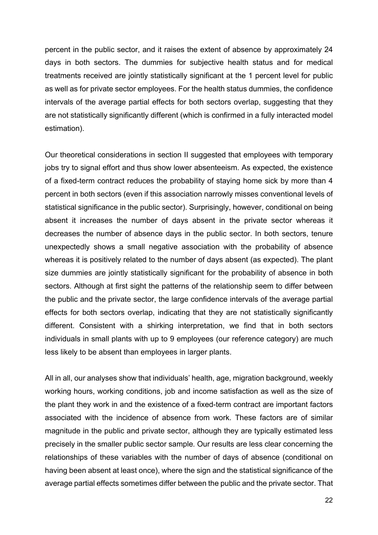percent in the public sector, and it raises the extent of absence by approximately 24 days in both sectors. The dummies for subjective health status and for medical treatments received are jointly statistically significant at the 1 percent level for public as well as for private sector employees. For the health status dummies, the confidence intervals of the average partial effects for both sectors overlap, suggesting that they are not statistically significantly different (which is confirmed in a fully interacted model estimation).

Our theoretical considerations in section II suggested that employees with temporary jobs try to signal effort and thus show lower absenteeism. As expected, the existence of a fixed-term contract reduces the probability of staying home sick by more than 4 percent in both sectors (even if this association narrowly misses conventional levels of statistical significance in the public sector). Surprisingly, however, conditional on being absent it increases the number of days absent in the private sector whereas it decreases the number of absence days in the public sector. In both sectors, tenure unexpectedly shows a small negative association with the probability of absence whereas it is positively related to the number of days absent (as expected). The plant size dummies are jointly statistically significant for the probability of absence in both sectors. Although at first sight the patterns of the relationship seem to differ between the public and the private sector, the large confidence intervals of the average partial effects for both sectors overlap, indicating that they are not statistically significantly different. Consistent with a shirking interpretation, we find that in both sectors individuals in small plants with up to 9 employees (our reference category) are much less likely to be absent than employees in larger plants.

All in all, our analyses show that individuals' health, age, migration background, weekly working hours, working conditions, job and income satisfaction as well as the size of the plant they work in and the existence of a fixed-term contract are important factors associated with the incidence of absence from work. These factors are of similar magnitude in the public and private sector, although they are typically estimated less precisely in the smaller public sector sample*.* Our results are less clear concerning the relationships of these variables with the number of days of absence (conditional on having been absent at least once), where the sign and the statistical significance of the average partial effects sometimes differ between the public and the private sector. That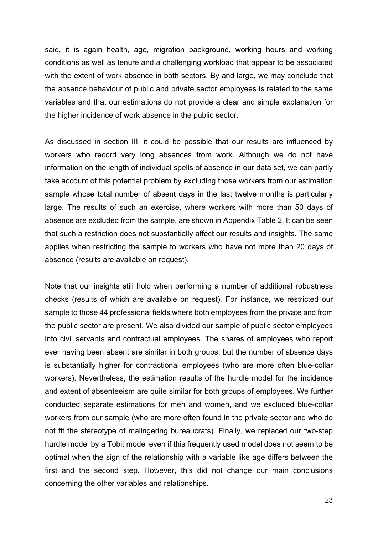said, it is again health, age, migration background, working hours and working conditions as well as tenure and a challenging workload that appear to be associated with the extent of work absence in both sectors. By and large, we may conclude that the absence behaviour of public and private sector employees is related to the same variables and that our estimations do not provide a clear and simple explanation for the higher incidence of work absence in the public sector.

As discussed in section III, it could be possible that our results are influenced by workers who record very long absences from work. Although we do not have information on the length of individual spells of absence in our data set, we can partly take account of this potential problem by excluding those workers from our estimation sample whose total number of absent days in the last twelve months is particularly large. The results of such an exercise, where workers with more than 50 days of absence are excluded from the sample, are shown in Appendix Table 2. It can be seen that such a restriction does not substantially affect our results and insights. The same applies when restricting the sample to workers who have not more than 20 days of absence (results are available on request).

Note that our insights still hold when performing a number of additional robustness checks (results of which are available on request)*.* For instance, we restricted our sample to those 44 professional fields where both employees from the private and from the public sector are present. We also divided our sample of public sector employees into civil servants and contractual employees. The shares of employees who report ever having been absent are similar in both groups, but the number of absence days is substantially higher for contractional employees (who are more often blue-collar workers). Nevertheless, the estimation results of the hurdle model for the incidence and extent of absenteeism are quite similar for both groups of employees. We further conducted separate estimations for men and women, and we excluded blue-collar workers from our sample (who are more often found in the private sector and who do not fit the stereotype of malingering bureaucrats). Finally, we replaced our two-step hurdle model by a Tobit model even if this frequently used model does not seem to be optimal when the sign of the relationship with a variable like age differs between the first and the second step. However, this did not change our main conclusions concerning the other variables and relationships.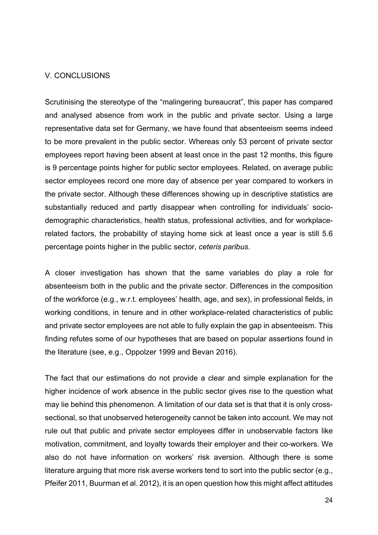#### V. CONCLUSIONS

Scrutinising the stereotype of the "malingering bureaucrat", this paper has compared and analysed absence from work in the public and private sector. Using a large representative data set for Germany, we have found that absenteeism seems indeed to be more prevalent in the public sector. Whereas only 53 percent of private sector employees report having been absent at least once in the past 12 months, this figure is 9 percentage points higher for public sector employees. Related, on average public sector employees record one more day of absence per year compared to workers in the private sector. Although these differences showing up in descriptive statistics are substantially reduced and partly disappear when controlling for individuals' sociodemographic characteristics, health status, professional activities, and for workplacerelated factors, the probability of staying home sick at least once a year is still 5.6 percentage points higher in the public sector, *ceteris paribus*.

A closer investigation has shown that the same variables do play a role for absenteeism both in the public and the private sector. Differences in the composition of the workforce (e.g., w.r.t. employees' health, age, and sex), in professional fields, in working conditions, in tenure and in other workplace-related characteristics of public and private sector employees are not able to fully explain the gap in absenteeism. This finding refutes some of our hypotheses that are based on popular assertions found in the literature (see, e.g., Oppolzer 1999 and Bevan 2016).

The fact that our estimations do not provide a clear and simple explanation for the higher incidence of work absence in the public sector gives rise to the question what may lie behind this phenomenon. A limitation of our data set is that that it is only crosssectional, so that unobserved heterogeneity cannot be taken into account. We may not rule out that public and private sector employees differ in unobservable factors like motivation, commitment, and loyalty towards their employer and their co-workers. We also do not have information on workers' risk aversion. Although there is some literature arguing that more risk averse workers tend to sort into the public sector (e.g., Pfeifer 2011, Buurman et al. 2012), it is an open question how this might affect attitudes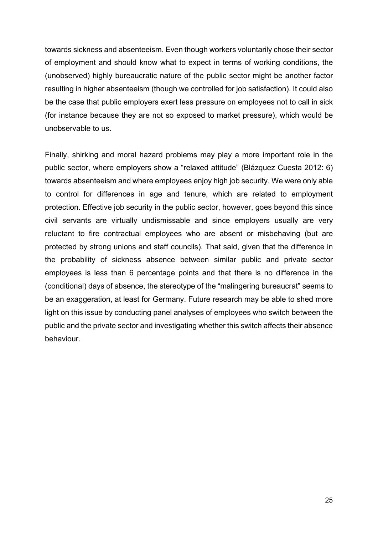towards sickness and absenteeism. Even though workers voluntarily chose their sector of employment and should know what to expect in terms of working conditions, the (unobserved) highly bureaucratic nature of the public sector might be another factor resulting in higher absenteeism (though we controlled for job satisfaction). It could also be the case that public employers exert less pressure on employees not to call in sick (for instance because they are not so exposed to market pressure), which would be unobservable to us.

Finally, shirking and moral hazard problems may play a more important role in the public sector, where employers show a "relaxed attitude" (Blázquez Cuesta 2012: 6) towards absenteeism and where employees enjoy high job security. We were only able to control for differences in age and tenure, which are related to employment protection. Effective job security in the public sector, however, goes beyond this since civil servants are virtually undismissable and since employers usually are very reluctant to fire contractual employees who are absent or misbehaving (but are protected by strong unions and staff councils). That said, given that the difference in the probability of sickness absence between similar public and private sector employees is less than 6 percentage points and that there is no difference in the (conditional) days of absence, the stereotype of the "malingering bureaucrat" seems to be an exaggeration, at least for Germany. Future research may be able to shed more light on this issue by conducting panel analyses of employees who switch between the public and the private sector and investigating whether this switch affects their absence behaviour.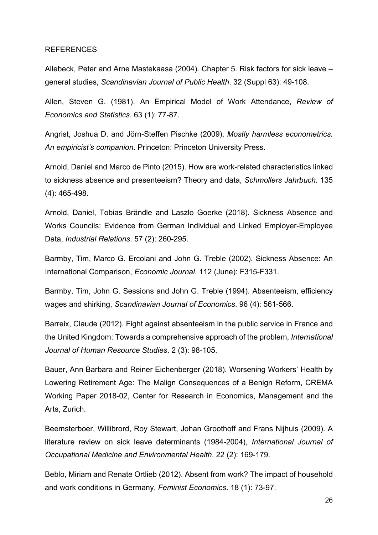#### REFERENCES

Allebeck, Peter and Arne Mastekaasa (2004). Chapter 5. Risk factors for sick leave – general studies, *Scandinavian Journal of Public Health*. 32 (Suppl 63): 49-108.

Allen, Steven G. (1981). An Empirical Model of Work Attendance, *Review of Economics and Statistics.* 63 (1): 77-87.

Angrist, Joshua D. and Jörn-Steffen Pischke (2009). *Mostly harmless econometrics. An empiricist's companion*. Princeton: Princeton University Press.

Arnold, Daniel and Marco de Pinto (2015). How are work-related characteristics linked to sickness absence and presenteeism? Theory and data, *Schmollers Jahrbuch*. 135 (4): 465-498.

Arnold, Daniel, Tobias Brändle and Laszlo Goerke (2018). Sickness Absence and Works Councils: Evidence from German Individual and Linked Employer-Employee Data, *Industrial Relations*. 57 (2): 260-295.

Barmby, Tim, Marco G. Ercolani and John G. Treble (2002). Sickness Absence: An International Comparison, *Economic Journal*. 112 (June): F315-F331.

Barmby, Tim, John G. Sessions and John G. Treble (1994). Absenteeism, efficiency wages and shirking, *Scandinavian Journal of Economics*. 96 (4): 561-566.

Barreix, Claude (2012). Fight against absenteeism in the public service in France and the United Kingdom: Towards a comprehensive approach of the problem, *International Journal of Human Resource Studies*. 2 (3): 98-105.

Bauer, Ann Barbara and Reiner Eichenberger (2018). Worsening Workers' Health by Lowering Retirement Age: The Malign Consequences of a Benign Reform, CREMA Working Paper 2018-02, Center for Research in Economics, Management and the Arts, Zurich.

Beemsterboer, Willibrord, Roy Stewart, Johan Groothoff and Frans Nijhuis (2009). A literature review on sick leave determinants (1984-2004), *International Journal of Occupational Medicine and Environmental Health*. 22 (2): 169-179.

Beblo, Miriam and Renate Ortlieb (2012). Absent from work? The impact of household and work conditions in Germany, *Feminist Economics*. 18 (1): 73-97.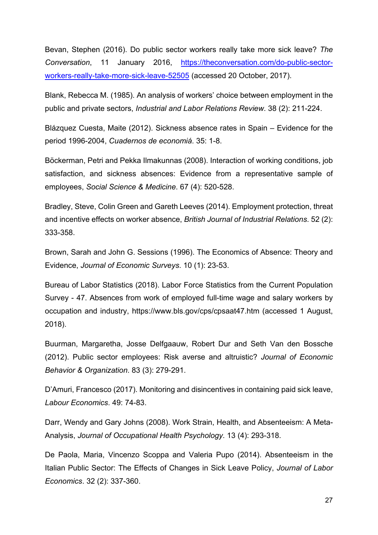Bevan, Stephen (2016). Do public sector workers really take more sick leave? *The Conversation*, 11 January 2016, https://theconversation.com/do-public-sectorworkers-really-take-more-sick-leave-52505 (accessed 20 October, 2017).

Blank, Rebecca M. (1985). An analysis of workers' choice between employment in the public and private sectors, *Industrial and Labor Relations Review*. 38 (2): 211-224.

Blázquez Cuesta, Maite (2012). Sickness absence rates in Spain – Evidence for the period 1996-2004, *Cuadernos de economiá*. 35: 1-8.

Böckerman, Petri and Pekka Ilmakunnas (2008). Interaction of working conditions, job satisfaction, and sickness absences: Evidence from a representative sample of employees, *Social Science & Medicine*. 67 (4): 520-528.

Bradley, Steve, Colin Green and Gareth Leeves (2014). Employment protection, threat and incentive effects on worker absence, *British Journal of Industrial Relations*. 52 (2): 333-358.

Brown, Sarah and John G. Sessions (1996). The Economics of Absence: Theory and Evidence, *Journal of Economic Surveys*. 10 (1): 23-53.

Bureau of Labor Statistics (2018). Labor Force Statistics from the Current Population Survey - 47. Absences from work of employed full-time wage and salary workers by occupation and industry, https://www.bls.gov/cps/cpsaat47.htm (accessed 1 August, 2018).

Buurman, Margaretha, Josse Delfgaauw, Robert Dur and Seth Van den Bossche (2012). Public sector employees: Risk averse and altruistic? *Journal of Economic Behavior & Organization*. 83 (3): 279-291.

D'Amuri, Francesco (2017). Monitoring and disincentives in containing paid sick leave, *Labour Economics*. 49: 74-83.

Darr, Wendy and Gary Johns (2008). Work Strain, Health, and Absenteeism: A Meta-Analysis, *Journal of Occupational Health Psychology*. 13 (4): 293-318.

De Paola, Maria, Vincenzo Scoppa and Valeria Pupo (2014). Absenteeism in the Italian Public Sector: The Effects of Changes in Sick Leave Policy, *Journal of Labor Economics*. 32 (2): 337-360.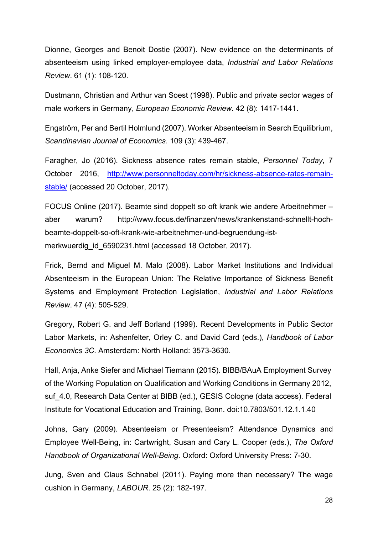Dionne, Georges and Benoit Dostie (2007). New evidence on the determinants of absenteeism using linked employer-employee data, *Industrial and Labor Relations Review*. 61 (1): 108-120.

Dustmann, Christian and Arthur van Soest (1998). Public and private sector wages of male workers in Germany, *European Economic Review*. 42 (8): 1417-1441.

Engström, Per and Bertil Holmlund (2007). Worker Absenteeism in Search Equilibrium, *Scandinavian Journal of Economics*. 109 (3): 439-467.

Faragher, Jo (2016). Sickness absence rates remain stable, *Personnel Today*, 7 October 2016, [http://www.personneltoday.com/hr/sickness-absence-rates-remain](http://www.personneltoday.com/hr/sickness-absence-rates-remain-stable/)[stable/](http://www.personneltoday.com/hr/sickness-absence-rates-remain-stable/) (accessed 20 October, 2017).

FOCUS Online (2017). Beamte sind doppelt so oft krank wie andere Arbeitnehmer – aber warum? http://www.focus.de/finanzen/news/krankenstand-schnellt-hochbeamte-doppelt-so-oft-krank-wie-arbeitnehmer-und-begruendung-istmerkwuerdig\_id\_6590231.html (accessed 18 October, 2017).

Frick, Bernd and Miguel M. Malo (2008). Labor Market Institutions and Individual Absenteeism in the European Union: The Relative Importance of Sickness Benefit Systems and Employment Protection Legislation, *Industrial and Labor Relations Review*. 47 (4): 505-529.

Gregory, Robert G. and Jeff Borland (1999). Recent Developments in Public Sector Labor Markets, in: Ashenfelter, Orley C. and David Card (eds.), *Handbook of Labor Economics 3C*. Amsterdam: North Holland: 3573-3630.

Hall, Anja, Anke Siefer and Michael Tiemann (2015). BIBB/BAuA Employment Survey of the Working Population on Qualification and Working Conditions in Germany 2012, suf 4.0, Research Data Center at BIBB (ed.), GESIS Cologne (data access). Federal Institute for Vocational Education and Training, Bonn. doi:10.7803/501.12.1.1.40

Johns, Gary (2009). Absenteeism or Presenteeism? Attendance Dynamics and Employee Well-Being, in: Cartwright, Susan and Cary L. Cooper (eds.), *The Oxford Handbook of Organizational Well-Being*. Oxford: Oxford University Press: 7-30.

Jung, Sven and Claus Schnabel (2011). Paying more than necessary? The wage cushion in Germany, *LABOUR*. 25 (2): 182-197.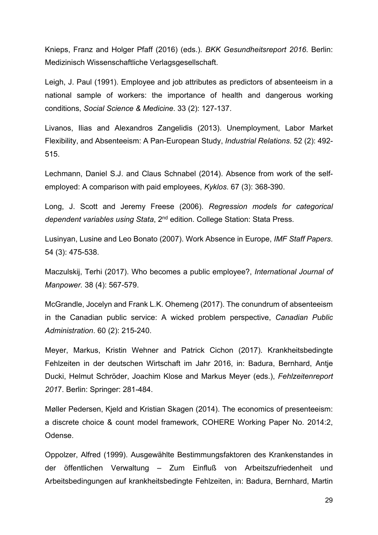Knieps, Franz and Holger Pfaff (2016) (eds.). *BKK Gesundheitsreport 2016*. Berlin: Medizinisch Wissenschaftliche Verlagsgesellschaft.

Leigh, J. Paul (1991). Employee and job attributes as predictors of absenteeism in a national sample of workers: the importance of health and dangerous working conditions, *Social Science & Medicine*. 33 (2): 127-137.

Livanos, Ilias and Alexandros Zangelidis (2013). Unemployment, Labor Market Flexibility, and Absenteeism: A Pan-European Study, *Industrial Relations*. 52 (2): 492- 515.

Lechmann, Daniel S.J. and Claus Schnabel (2014). Absence from work of the selfemployed: A comparison with paid employees, *Kyklos*. 67 (3): 368-390.

Long, J. Scott and Jeremy Freese (2006). *Regression models for categorical dependent variables using Stata*, 2nd edition. College Station: Stata Press.

Lusinyan, Lusine and Leo Bonato (2007). Work Absence in Europe, *IMF Staff Papers*. 54 (3): 475-538.

Maczulskij, Terhi (2017). Who becomes a public employee?, *International Journal of Manpower.* 38 (4): 567-579.

McGrandle, Jocelyn and Frank L.K. Ohemeng (2017). The conundrum of absenteeism in the Canadian public service: A wicked problem perspective, *Canadian Public Administration*. 60 (2): 215-240.

Meyer, Markus, Kristin Wehner and Patrick Cichon (2017). Krankheitsbedingte Fehlzeiten in der deutschen Wirtschaft im Jahr 2016, in: Badura, Bernhard, Antje Ducki, Helmut Schröder, Joachim Klose and Markus Meyer (eds.), *Fehlzeitenreport 201*7. Berlin: Springer: 281-484.

Møller Pedersen, Kjeld and Kristian Skagen (2014). The economics of presenteeism: a discrete choice & count model framework, COHERE Working Paper No. 2014:2, Odense.

Oppolzer, Alfred (1999). Ausgewählte Bestimmungsfaktoren des Krankenstandes in der öffentlichen Verwaltung – Zum Einfluß von Arbeitszufriedenheit und Arbeitsbedingungen auf krankheitsbedingte Fehlzeiten, in: Badura, Bernhard, Martin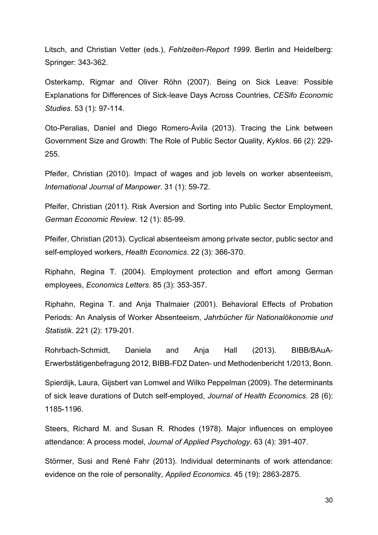Litsch, and Christian Vetter (eds.), *Fehlzeiten-Report 1999*. Berlin and Heidelberg: Springer: 343-362.

Osterkamp, Rigmar and Oliver Röhn (2007). Being on Sick Leave: Possible Explanations for Differences of Sick-leave Days Across Countries, *CESifo Economic Studies*. 53 (1): 97-114.

Oto-Peralias, Daniel and Diego Romero-Ávila (2013). Tracing the Link between Government Size and Growth: The Role of Public Sector Quality, *Kyklos*. 66 (2): 229- 255.

Pfeifer, Christian (2010). Impact of wages and job levels on worker absenteeism, *International Journal of Manpower*. 31 (1): 59-72.

Pfeifer, Christian (2011). Risk Aversion and Sorting into Public Sector Employment, *German Economic Review*. 12 (1): 85-99.

Pfeifer, Christian (2013). Cyclical absenteeism among private sector, public sector and self-employed workers, *Health Economics*. 22 (3): 366-370.

Riphahn, Regina T. (2004). Employment protection and effort among German employees, *Economics Letters*. 85 (3): 353-357.

Riphahn, Regina T. and Anja Thalmaier (2001). Behavioral Effects of Probation Periods: An Analysis of Worker Absenteeism, *Jahrbücher für Nationalökonomie und Statistik*. 221 (2): 179-201.

Rohrbach-Schmidt, Daniela and Anja Hall (2013). BIBB/BAuA-Erwerbstätigenbefragung 2012, BIBB-FDZ Daten- und Methodenbericht 1/2013, Bonn.

Spierdijk, Laura, Gijsbert van Lomwel and Wilko Peppelman (2009). The determinants of sick leave durations of Dutch self-employed, *Journal of Health Economics*. 28 (6): 1185-1196.

Steers, Richard M. and Susan R. Rhodes (1978). Major influences on employee attendance: A process model, *Journal of Applied Psychology*. 63 (4): 391-407.

Störmer, Susi and René Fahr (2013). Individual determinants of work attendance: evidence on the role of personality, *Applied Economics*. 45 (19): 2863-2875.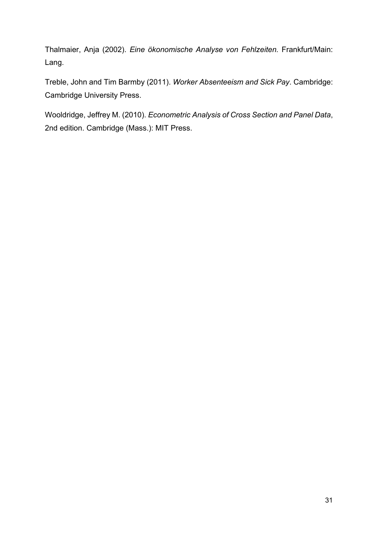Thalmaier, Anja (2002). *Eine ökonomische Analyse von Fehlzeiten.* Frankfurt/Main: Lang.

Treble, John and Tim Barmby (2011). *Worker Absenteeism and Sick Pay*. Cambridge: Cambridge University Press.

Wooldridge, Jeffrey M. (2010). *Econometric Analysis of Cross Section and Panel Data*, 2nd edition. Cambridge (Mass.): MIT Press.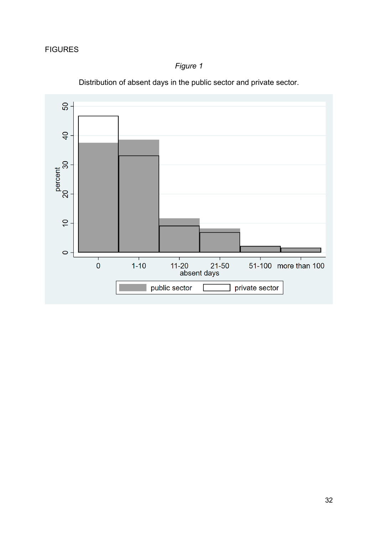# *Figure 1*

Distribution of absent days in the public sector and private sector.

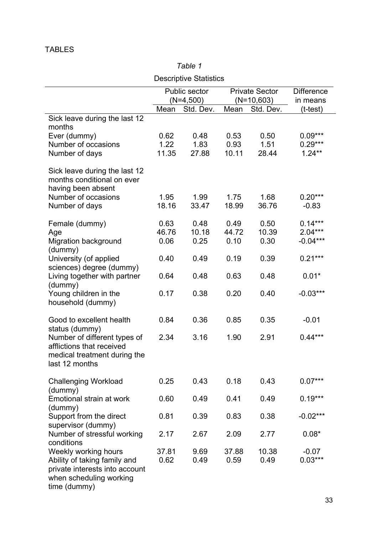# TABLES

### *Table 1*

|                                                                                                             | <b>Descriptive Statistics</b> |                                     |       |                                       |                               |  |
|-------------------------------------------------------------------------------------------------------------|-------------------------------|-------------------------------------|-------|---------------------------------------|-------------------------------|--|
|                                                                                                             |                               | <b>Public sector</b><br>$(N=4,500)$ |       | <b>Private Sector</b><br>$(N=10,603)$ | <b>Difference</b><br>in means |  |
|                                                                                                             | Mean                          | Std. Dev.                           | Mean  | Std. Dev.                             | (t-test)                      |  |
| Sick leave during the last 12<br>months                                                                     |                               |                                     |       |                                       |                               |  |
| Ever (dummy)                                                                                                | 0.62                          | 0.48                                | 0.53  | 0.50                                  | $0.09***$                     |  |
| Number of occasions                                                                                         | 1.22                          | 1.83                                | 0.93  | 1.51                                  | $0.29***$                     |  |
| Number of days                                                                                              | 11.35                         | 27.88                               | 10.11 | 28.44                                 | $1.24**$                      |  |
| Sick leave during the last 12<br>months conditional on ever<br>having been absent                           |                               |                                     |       |                                       |                               |  |
| Number of occasions                                                                                         | 1.95                          | 1.99                                | 1.75  | 1.68                                  | $0.20***$                     |  |
| Number of days                                                                                              | 18.16                         | 33.47                               | 18.99 | 36.76                                 | $-0.83$                       |  |
| Female (dummy)                                                                                              | 0.63                          | 0.48                                | 0.49  | 0.50                                  | $0.14***$                     |  |
| Age                                                                                                         | 46.76                         | 10.18                               | 44.72 | 10.39                                 | $2.04***$                     |  |
| Migration background<br>(dummy)                                                                             | 0.06                          | 0.25                                | 0.10  | 0.30                                  | $-0.04***$                    |  |
| University (of applied<br>sciences) degree (dummy)                                                          | 0.40                          | 0.49                                | 0.19  | 0.39                                  | $0.21***$                     |  |
| Living together with partner<br>(dummy)                                                                     | 0.64                          | 0.48                                | 0.63  | 0.48                                  | $0.01*$                       |  |
| Young children in the<br>household (dummy)                                                                  | 0.17                          | 0.38                                | 0.20  | 0.40                                  | $-0.03***$                    |  |
| Good to excellent health<br>status (dummy)                                                                  | 0.84                          | 0.36                                | 0.85  | 0.35                                  | $-0.01$                       |  |
| Number of different types of<br>afflictions that received<br>medical treatment during the<br>last 12 months | 2.34                          | 3.16                                | 1.90  | 2.91                                  | $0.44***$                     |  |
| <b>Challenging Workload</b><br>(dummy)                                                                      | 0.25                          | 0.43                                | 0.18  | 0.43                                  | $0.07***$                     |  |
| Emotional strain at work<br>(dummy)                                                                         | 0.60                          | 0.49                                | 0.41  | 0.49                                  | $0.19***$                     |  |
| Support from the direct<br>supervisor (dummy)                                                               | 0.81                          | 0.39                                | 0.83  | 0.38                                  | $-0.02***$                    |  |
| Number of stressful working<br>conditions                                                                   | 2.17                          | 2.67                                | 2.09  | 2.77                                  | $0.08*$                       |  |
| Weekly working hours                                                                                        | 37.81                         | 9.69                                | 37.88 | 10.38                                 | $-0.07$                       |  |
| Ability of taking family and<br>private interests into account<br>when scheduling working<br>time (dummy)   | 0.62                          | 0.49                                | 0.59  | 0.49                                  | $0.03***$                     |  |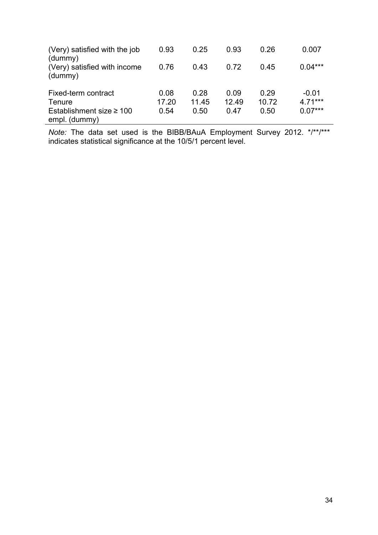| (Very) satisfied with the job<br>(dummy)                                        | 0.93                  | 0.25                  | 0.93                  | 0.26                  | 0.007                             |
|---------------------------------------------------------------------------------|-----------------------|-----------------------|-----------------------|-----------------------|-----------------------------------|
| (Very) satisfied with income<br>(dummy)                                         | 0.76                  | 0.43                  | 0.72                  | 0.45                  | $0.04***$                         |
| Fixed-term contract<br>Tenure<br>Establishment size $\geq 100$<br>empl. (dummy) | 0.08<br>17.20<br>0.54 | 0.28<br>11.45<br>0.50 | 0.09<br>12.49<br>0.47 | 0.29<br>10.72<br>0.50 | $-0.01$<br>$4.71***$<br>$0.07***$ |

*Note:* The data set used is the BIBB/BAuA Employment Survey 2012. \*/\*\*/\*\*\* indicates statistical significance at the 10/5/1 percent level.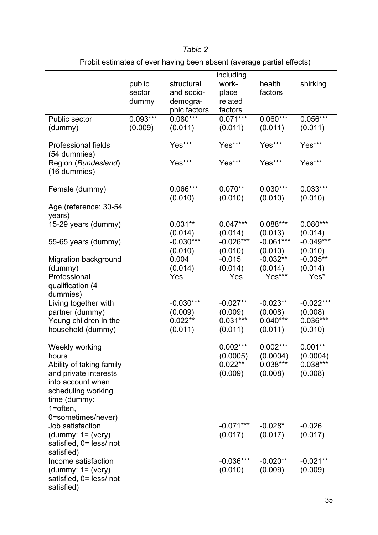|                            |            |                        | including              |                        |                        |
|----------------------------|------------|------------------------|------------------------|------------------------|------------------------|
|                            | public     | structural             | work-                  | health                 | shirking               |
|                            | sector     | and socio-             | place                  | factors                |                        |
|                            | dummy      | demogra-               | related                |                        |                        |
|                            |            | phic factors           | factors                |                        |                        |
| <b>Public sector</b>       | $0.093***$ | $0.080***$             | $0.071***$             | $0.060***$             | $0.056***$             |
| (dummy)                    | (0.009)    | (0.011)                | (0.011)                | (0.011)                | (0.011)                |
|                            |            |                        |                        |                        |                        |
| <b>Professional fields</b> |            | Yes***                 | Yes***                 | Yes***                 | Yes***                 |
| (54 dummies)               |            |                        |                        |                        |                        |
| Region (Bundesland)        |            | Yes***                 | Yes***                 | Yes***                 | Yes***                 |
| (16 dummies)               |            |                        |                        |                        |                        |
|                            |            |                        |                        |                        |                        |
| Female (dummy)             |            | $0.066***$             | $0.070**$              | $0.030***$             | $0.033***$             |
|                            |            | (0.010)                | (0.010)                | (0.010)                | (0.010)                |
| Age (reference: 30-54      |            |                        |                        |                        |                        |
| years)                     |            |                        |                        |                        |                        |
|                            |            | $0.031**$              | $0.047***$             | $0.088***$             | $0.080***$             |
| 15-29 years (dummy)        |            |                        |                        |                        |                        |
|                            |            | (0.014)<br>$-0.030***$ | (0.014)<br>$-0.026***$ | (0.013)<br>$-0.061***$ | (0.014)<br>$-0.049***$ |
| 55-65 years (dummy)        |            |                        |                        |                        |                        |
|                            |            | (0.010)                | (0.010)                | (0.010)                | (0.010)                |
| Migration background       |            | 0.004                  | $-0.015$               | $-0.032**$             | $-0.035**$             |
| (dummy)                    |            | (0.014)                | (0.014)                | (0.014)                | (0.014)                |
| Professional               |            | Yes                    | Yes                    | Yes***                 | Yes*                   |
| qualification (4           |            |                        |                        |                        |                        |
| dummies)                   |            |                        |                        |                        |                        |
| Living together with       |            | $-0.030***$            | $-0.027**$             | $-0.023**$             | $-0.022***$            |
| partner (dummy)            |            | (0.009)                | (0.009)                | (0.008)                | (0.008)                |
| Young children in the      |            | $0.022**$              | $0.031***$             | $0.040***$             | $0.036***$             |
| household (dummy)          |            | (0.011)                | (0.011)                | (0.011)                | (0.010)                |
|                            |            |                        |                        |                        |                        |
| Weekly working             |            |                        | $0.002***$             | $0.002***$             | $0.001**$              |
| hours                      |            |                        | (0.0005)               | (0.0004)               | (0.0004)               |
| Ability of taking family   |            |                        | $0.022**$              | $0.038***$             | $0.038***$             |
| and private interests      |            |                        | (0.009)                | (0.008)                | (0.008)                |
| into account when          |            |                        |                        |                        |                        |
| scheduling working         |            |                        |                        |                        |                        |
| time (dummy:               |            |                        |                        |                        |                        |
| $1 =$ often,               |            |                        |                        |                        |                        |
| 0=sometimes/never)         |            |                        |                        |                        |                        |
| Job satisfaction           |            |                        | $-0.071***$            | $-0.028*$              | $-0.026$               |
| (dummy: $1 = (very)$       |            |                        | (0.017)                | (0.017)                | (0.017)                |
| satisfied, $0 =$ less/not  |            |                        |                        |                        |                        |
| satisfied)                 |            |                        |                        |                        |                        |
| Income satisfaction        |            |                        | $-0.036***$            | $-0.020**$             | $-0.021**$             |
| (dummy: $1 = (very)$       |            |                        | (0.010)                | (0.009)                | (0.009)                |
| satisfied, 0= less/ not    |            |                        |                        |                        |                        |
| satisfied)                 |            |                        |                        |                        |                        |

| able |
|------|
|------|

Probit estimates of ever having been absent (average partial effects)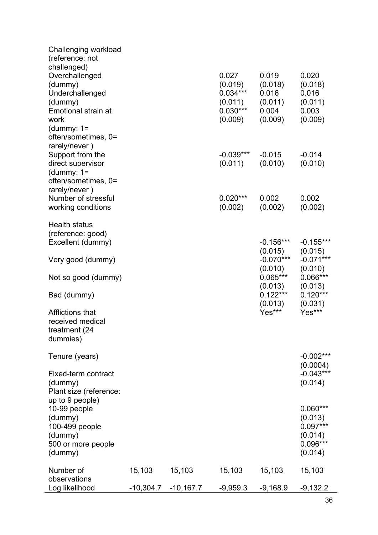| Challenging workload<br>(reference: not<br>challenged)                                                               |             |             |                                                                    |                                                          |                                                                         |
|----------------------------------------------------------------------------------------------------------------------|-------------|-------------|--------------------------------------------------------------------|----------------------------------------------------------|-------------------------------------------------------------------------|
| Overchallenged<br>(dummy)<br>Underchallenged<br>(dummy)<br>Emotional strain at<br>work<br>(dummy: $1=$               |             |             | 0.027<br>(0.019)<br>$0.034***$<br>(0.011)<br>$0.030***$<br>(0.009) | 0.019<br>(0.018)<br>0.016<br>(0.011)<br>0.004<br>(0.009) | 0.020<br>(0.018)<br>0.016<br>(0.011)<br>0.003<br>(0.009)                |
| often/sometimes, 0=<br>rarely/never)<br>Support from the<br>direct supervisor<br>(dummy: $1=$<br>often/sometimes, 0= |             |             | $-0.039***$<br>(0.011)                                             | $-0.015$<br>(0.010)                                      | $-0.014$<br>(0.010)                                                     |
| rarely/never)<br>Number of stressful<br>working conditions                                                           |             |             | $0.020***$<br>(0.002)                                              | 0.002<br>(0.002)                                         | 0.002<br>(0.002)                                                        |
| <b>Health status</b><br>(reference: good)<br>Excellent (dummy)                                                       |             |             |                                                                    | -0.156***                                                | $-0.155***$                                                             |
| Very good (dummy)                                                                                                    |             |             |                                                                    | $(0.015)$ $(0.015)$<br>$-0.070***$                       | $-0.071***$                                                             |
| Not so good (dummy)                                                                                                  |             |             |                                                                    | (0.010)<br>$0.065***$<br>(0.013)                         | (0.010)<br>$0.066***$<br>(0.013)                                        |
| Bad (dummy)                                                                                                          |             |             |                                                                    | $0.122***$<br>(0.013)                                    | $0.120***$<br>(0.031)                                                   |
| Afflictions that<br>received medical<br>treatment (24<br>dummies)                                                    |             |             |                                                                    | Yes***                                                   | Yes***                                                                  |
| Tenure (years)                                                                                                       |             |             |                                                                    |                                                          | $-0.002***$                                                             |
| Fixed-term contract<br>(dummy)<br>Plant size (reference:                                                             |             |             |                                                                    |                                                          | (0.0004)<br>$-0.043***$<br>(0.014)                                      |
| up to 9 people)<br>10-99 people<br>(dummy)<br>100-499 people<br>(dummy)<br>500 or more people<br>(dummy)             |             |             |                                                                    |                                                          | $0.060***$<br>(0.013)<br>$0.097***$<br>(0.014)<br>$0.096***$<br>(0.014) |
| Number of<br>observations                                                                                            | 15,103      | 15,103      | 15,103                                                             | 15,103                                                   | 15,103                                                                  |
| Log likelihood                                                                                                       | $-10,304.7$ | $-10,167.7$ | $-9,959.3$                                                         | $-9,168.9$                                               | $-9,132.2$                                                              |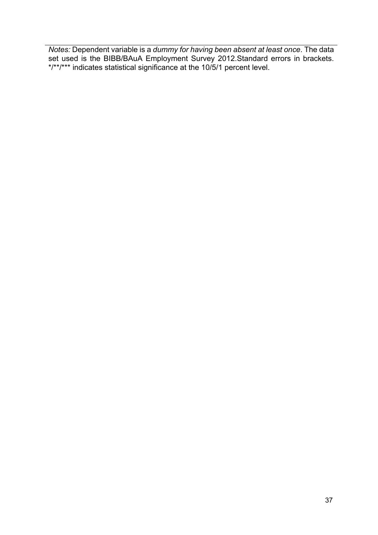*Notes:* Dependent variable is a *dummy for having been absent at least once*. The data set used is the BIBB/BAuA Employment Survey 2012.Standard errors in brackets. \*/\*\*/\*\*\* indicates statistical significance at the 10/5/1 percent level.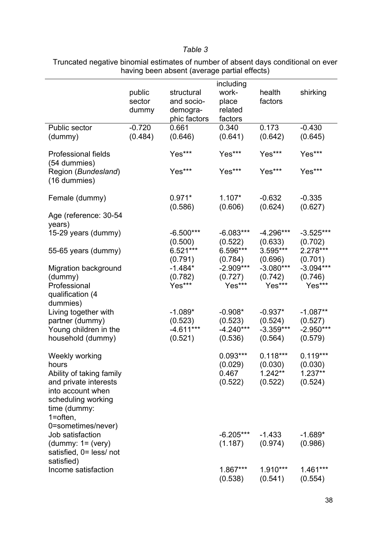### *Table 3*

|                                                               |                           |                                                      | including                            |                        |                        |
|---------------------------------------------------------------|---------------------------|------------------------------------------------------|--------------------------------------|------------------------|------------------------|
|                                                               | public<br>sector<br>dummy | structural<br>and socio-<br>demogra-<br>phic factors | work-<br>place<br>related<br>factors | health<br>factors      | shirking               |
| <b>Public sector</b>                                          | $-0.720$                  | 0.661                                                | 0.340                                | 0.173                  | $-0.430$               |
| (dummy)                                                       | (0.484)                   | (0.646)                                              | (0.641)                              | (0.642)                | (0.645)                |
| <b>Professional fields</b><br>(54 dummies)                    |                           | Yes***                                               | Yes***                               | Yes***                 | Yes***                 |
| Region (Bundesland)<br>(16 dummies)                           |                           | Yes***                                               | Yes***                               | Yes***                 | Yes***                 |
| Female (dummy)                                                |                           | $0.971*$<br>(0.586)                                  | $1.107*$<br>(0.606)                  | $-0.632$<br>(0.624)    | $-0.335$<br>(0.627)    |
| Age (reference: 30-54<br>years)                               |                           |                                                      |                                      |                        |                        |
| 15-29 years (dummy)                                           |                           | $-6.500***$<br>(0.500)                               | $-6.083***$<br>(0.522)               | $-4.296***$<br>(0.633) | $-3.525***$<br>(0.702) |
| 55-65 years (dummy)                                           |                           | $6.521***$<br>(0.791)                                | 6.596***<br>(0.784)                  | $3.595***$<br>(0.696)  | 2.278***<br>(0.701)    |
| Migration background                                          |                           | $-1.484*$                                            | $-2.909***$                          | $-3.080***$            | $-3.094***$            |
| (dummy)<br>Professional<br>qualification (4<br>dummies)       |                           | (0.782)<br>Yes***                                    | (0.727)<br>Yes***                    | (0.742)<br>Yes***      | (0.746)<br>Yes***      |
| Living together with                                          |                           | $-1.089*$                                            | $-0.908*$                            | $-0.937*$              | $-1.087**$             |
| partner (dummy)                                               |                           | (0.523)                                              | (0.523)                              | (0.524)                | (0.527)                |
| Young children in the                                         |                           | $-4.611***$                                          | $-4.240***$                          | $-3.359***$            | $-2.950***$            |
| household (dummy)                                             |                           | (0.521)                                              | (0.536)                              | (0.564)                | (0.579)                |
| Weekly working<br>hours                                       |                           |                                                      | $0.093***$<br>(0.029)                | $0.118***$<br>(0.030)  | $0.119***$<br>(0.030)  |
| Ability of taking family                                      |                           |                                                      | 0.467                                | $1.242**$              | $1.237**$              |
| and private interests                                         |                           |                                                      | (0.522)                              | (0.522)                | (0.524)                |
| into account when                                             |                           |                                                      |                                      |                        |                        |
| scheduling working<br>time (dummy:                            |                           |                                                      |                                      |                        |                        |
| $1 =$ often,                                                  |                           |                                                      |                                      |                        |                        |
| 0=sometimes/never)                                            |                           |                                                      |                                      |                        |                        |
| Job satisfaction                                              |                           |                                                      | $-6.205***$                          | -1.433                 | $-1.689*$              |
| (dummy: $1 = (very)$<br>satisfied, 0= less/ not<br>satisfied) |                           |                                                      | (1.187)                              | (0.974)                | (0.986)                |
| Income satisfaction                                           |                           |                                                      | $1.867***$                           | $1.910***$             | 1.461***               |
|                                                               |                           |                                                      | (0.538)                              | (0.541)                | (0.554)                |

Truncated negative binomial estimates of number of absent days conditional on ever having been absent (average partial effects)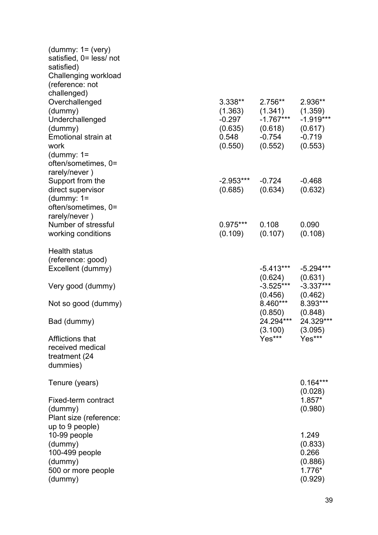| (dummy: $1 = (very)$<br>satisfied, 0= less/ not<br>satisfied)<br>Challenging workload<br>(reference: not |                                                                                    |                     |
|----------------------------------------------------------------------------------------------------------|------------------------------------------------------------------------------------|---------------------|
| challenged)                                                                                              |                                                                                    |                     |
| Overchallenged                                                                                           | $3.338**$ 2.756** 2.936**                                                          |                     |
| (dummy)                                                                                                  | $(1.363)$ $(1.341)$ $(1.359)$                                                      |                     |
| Underchallenged<br>(dummy)                                                                               | $-0.297$ $-1.767***$ $-1.919***$<br>(0.635) (0.618) (0.617)<br>0.548 -0.754 -0.719 |                     |
| Emotional strain at                                                                                      |                                                                                    |                     |
| work                                                                                                     | $(0.550)$ $(0.552)$ $(0.553)$                                                      |                     |
| (dummy: $1=$                                                                                             |                                                                                    |                     |
| often/sometimes, 0=                                                                                      |                                                                                    |                     |
| rarely/never)                                                                                            |                                                                                    |                     |
| Support from the                                                                                         | -2.953***  -0.724                                                                  | -0.468              |
| direct supervisor                                                                                        | $(0.685)$ $(0.634)$ $(0.632)$                                                      |                     |
| (dummy: $1=$                                                                                             |                                                                                    |                     |
| often/sometimes, 0=<br>rarely/never)                                                                     |                                                                                    |                     |
| Number of stressful                                                                                      | $0.975***$ 0.108                                                                   | 0.090               |
| working conditions                                                                                       | $(0.109)$ $(0.107)$ $(0.108)$                                                      |                     |
|                                                                                                          |                                                                                    |                     |
| <b>Health status</b>                                                                                     |                                                                                    |                     |
| (reference: good)                                                                                        |                                                                                    |                     |
| Excellent (dummy)                                                                                        | $-5.413***$ $-5.294***$                                                            |                     |
| Very good (dummy)                                                                                        | $(0.624)$ $(0.631)$<br>-3.525*** -3.337***                                         |                     |
|                                                                                                          |                                                                                    |                     |
| Not so good (dummy)                                                                                      | $(0.456)$ $(0.462)$<br>8.460*** 8.393***                                           |                     |
|                                                                                                          | $(0.850)$ $(0.848)$                                                                |                     |
| Bad (dummy)                                                                                              | 24.294*** 24.329***                                                                |                     |
|                                                                                                          | $(3.100)$ $(3.095)$                                                                |                     |
| Afflictions that                                                                                         | Yes***                                                                             | Yes***              |
| received medical<br>treatment (24                                                                        |                                                                                    |                     |
| dummies)                                                                                                 |                                                                                    |                     |
|                                                                                                          |                                                                                    |                     |
| Tenure (years)                                                                                           |                                                                                    | $0.164***$          |
| Fixed-term contract                                                                                      |                                                                                    | (0.028)<br>$1.857*$ |
| (dummy)                                                                                                  |                                                                                    | (0.980)             |
| Plant size (reference:                                                                                   |                                                                                    |                     |
| up to 9 people)                                                                                          |                                                                                    |                     |
| 10-99 people                                                                                             |                                                                                    | 1.249               |
| (dummy)                                                                                                  |                                                                                    | (0.833)             |
| 100-499 people                                                                                           |                                                                                    | 0.266               |
| (dummy)                                                                                                  |                                                                                    | (0.886)             |
| 500 or more people                                                                                       |                                                                                    | $1.776*$            |
| (dummy)                                                                                                  |                                                                                    | (0.929)             |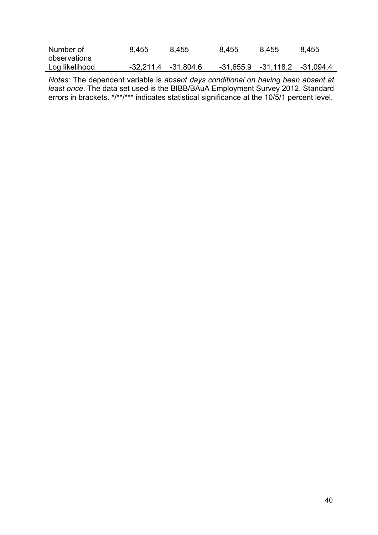| Number of      | 8,455                   | 8.455 | 8,455 | 8.455                               | 8.455 |
|----------------|-------------------------|-------|-------|-------------------------------------|-------|
| observations   |                         |       |       |                                     |       |
| Log likelihood | $-32,211.4$ $-31,804.6$ |       |       | $-31,655.9$ $-31,118.2$ $-31,094.4$ |       |

*Notes:* The dependent variable is *absent days conditional on having been absent at least once*. The data set used is the BIBB/BAuA Employment Survey 2012. Standard errors in brackets. \*/\*\*/\*\*\* indicates statistical significance at the 10/5/1 percent level.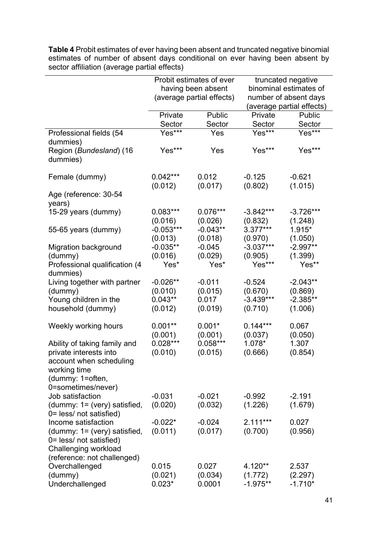|                               | Probit estimates of ever |                           | truncated negative |                           |  |
|-------------------------------|--------------------------|---------------------------|--------------------|---------------------------|--|
|                               |                          | having been absent        |                    | binominal estimates of    |  |
|                               |                          | (average partial effects) |                    | number of absent days     |  |
|                               |                          |                           |                    | (average partial effects) |  |
|                               | Private                  | Public                    | Private            | Public                    |  |
|                               | Sector                   | Sector                    | Sector             | Sector                    |  |
| Professional fields (54       | Yes***                   | Yes                       | Yes***             | Yes***                    |  |
| dummies)                      |                          |                           |                    |                           |  |
| Region (Bundesland) (16       | Yes***                   | Yes                       | Yes***             | Yes***                    |  |
| dummies)                      |                          |                           |                    |                           |  |
|                               |                          |                           |                    |                           |  |
| Female (dummy)                | $0.042***$               | 0.012                     | $-0.125$           | $-0.621$                  |  |
|                               | (0.012)                  | (0.017)                   | (0.802)            | (1.015)                   |  |
| Age (reference: 30-54         |                          |                           |                    |                           |  |
| years)                        |                          |                           |                    |                           |  |
| 15-29 years (dummy)           | $0.083***$               | $0.076***$                | $-3.842***$        | $-3.726***$               |  |
|                               | (0.016)                  | (0.026)                   | (0.832)            | (1.248)                   |  |
| 55-65 years (dummy)           | $-0.053***$              | $-0.043**$                | $3.377***$         | $1.915*$                  |  |
|                               | (0.013)                  | (0.018)                   | (0.970)            | (1.050)                   |  |
| Migration background          | $-0.035**$               | $-0.045$                  | $-3.037***$        | $-2.997**$                |  |
| (dummy)                       | (0.016)                  | (0.029)                   | (0.905)            | (1.399)                   |  |
| Professional qualification (4 | Yes*                     | Yes*                      | Yes***             | Yes**                     |  |
| dummies)                      |                          |                           |                    |                           |  |
| Living together with partner  | $-0.026**$               | $-0.011$                  | $-0.524$           | $-2.043**$                |  |
| (dummy)                       | (0.010)                  | (0.015)                   | (0.670)            | (0.869)                   |  |
| Young children in the         | $0.043**$                | 0.017                     | $-3.439***$        | $-2.385**$                |  |
| household (dummy)             | (0.012)                  | (0.019)                   | (0.710)            | (1.006)                   |  |
|                               |                          |                           |                    |                           |  |
| Weekly working hours          | $0.001**$                | $0.001*$                  | $0.144***$         | 0.067                     |  |
|                               | (0.001)                  | (0.001)                   | (0.037)            | (0.050)                   |  |
| Ability of taking family and  | $0.028***$               | $0.058***$                | $1.078*$           | 1.307                     |  |
| private interests into        | (0.010)                  | (0.015)                   | (0.666)            | (0.854)                   |  |
| account when scheduling       |                          |                           |                    |                           |  |
| working time                  |                          |                           |                    |                           |  |
| (dummy: 1=often,              |                          |                           |                    |                           |  |
| 0=sometimes/never)            |                          |                           |                    |                           |  |
| Job satisfaction              | $-0.031$                 | $-0.021$                  | $-0.992$           | $-2.191$                  |  |
| (dummy: 1= (very) satisfied,  | (0.020)                  | (0.032)                   | (1.226)            | (1.679)                   |  |
| 0= less/ not satisfied)       |                          |                           |                    |                           |  |
| Income satisfaction           | $-0.022*$                | $-0.024$                  | $2.111***$         | 0.027                     |  |
| (dummy: 1= (very) satisfied,  | (0.011)                  | (0.017)                   | (0.700)            | (0.956)                   |  |
| 0= less/ not satisfied)       |                          |                           |                    |                           |  |
| Challenging workload          |                          |                           |                    |                           |  |
| (reference: not challenged)   |                          |                           |                    |                           |  |
| Overchallenged                | 0.015                    | 0.027                     | 4.120**            | 2.537                     |  |
| (dummy)                       | (0.021)                  | (0.034)                   | (1.772)            | (2.297)                   |  |
| Underchallenged               | $0.023*$                 | 0.0001                    | $-1.975**$         | $-1.710*$                 |  |

**Table 4** Probit estimates of ever having been absent and truncated negative binomial estimates of number of absent days conditional on ever having been absent by sector affiliation (average partial effects)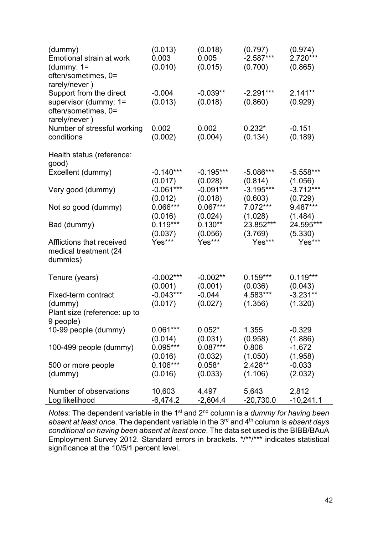| (dummy)<br>Emotional strain at work<br>(dummy: $1=$<br>often/sometimes, 0=                                | (0.013)<br>0.003<br>(0.010) | (0.018)<br>0.005<br>(0.015) | (0.797)<br>$-2.587***$<br>(0.700) | (0.974)<br>$2.720***$<br>(0.865) |
|-----------------------------------------------------------------------------------------------------------|-----------------------------|-----------------------------|-----------------------------------|----------------------------------|
| rarely/never)<br>Support from the direct<br>supervisor (dummy: 1=<br>often/sometimes, 0=<br>rarely/never) | $-0.004$<br>(0.013)         | $-0.039**$<br>(0.018)       | $-2.291***$<br>(0.860)            | $2.141**$<br>(0.929)             |
| Number of stressful working                                                                               | 0.002                       | 0.002                       | $0.232*$                          | $-0.151$                         |
| conditions                                                                                                | (0.002)                     | (0.004)                     | (0.134)                           | (0.189)                          |
| Health status (reference:                                                                                 |                             |                             |                                   |                                  |
| good)                                                                                                     | $-0.140***$                 | $-0.195***$                 | $-5.086***$                       | $-5.558***$                      |
| Excellent (dummy)                                                                                         | (0.017)                     | (0.028)                     | (0.814)                           | (1.056)                          |
| Very good (dummy)                                                                                         | $-0.061***$                 | $-0.091***$                 | $-3.195***$                       | $-3.712***$                      |
|                                                                                                           | (0.012)                     | (0.018)                     | (0.603)                           | (0.729)                          |
| Not so good (dummy)                                                                                       | $0.066***$                  | $0.067***$                  | $7.072***$                        | 9.487***                         |
|                                                                                                           | (0.016)                     | (0.024)                     | (1.028)                           | (1.484)                          |
| Bad (dummy)                                                                                               | $0.119***$                  | $0.130**$                   | 23.852***                         | 24.595***                        |
|                                                                                                           | (0.037)                     | (0.056)                     | (3.769)                           | (5.330)                          |
| Afflictions that received<br>medical treatment (24<br>dummies)                                            | Yes***                      | Yes***                      | Yes***                            | Yes***                           |
| Tenure (years)                                                                                            | $-0.002***$                 | $-0.002**$                  | $0.159***$                        | $0.119***$                       |
|                                                                                                           | (0.001)                     | (0.001)                     | (0.036)                           | (0.043)                          |
| Fixed-term contract<br>(dummy)<br>Plant size (reference: up to<br>9 people)                               | $-0.043***$<br>(0.017)      | $-0.044$<br>(0.027)         | 4.583***<br>(1.356)               | $-3.231**$<br>(1.320)            |
| 10-99 people (dummy)                                                                                      | $0.061***$                  | $0.052*$                    | 1.355                             | $-0.329$                         |
|                                                                                                           | (0.014)                     | (0.031)                     | (0.958)                           | (1.886)                          |
| 100-499 people (dummy)                                                                                    | $0.095***$                  | $0.087***$                  | 0.806                             | $-1.672$                         |
|                                                                                                           | (0.016)                     | (0.032)                     | (1.050)                           | (1.958)                          |
| 500 or more people                                                                                        | $0.106***$                  | $0.058*$                    | $2.428**$                         | $-0.033$                         |
| (dummy)                                                                                                   | (0.016)                     | (0.033)                     | (1.106)                           | (2.032)                          |
| Number of observations                                                                                    | 10,603                      | 4,497                       | 5,643                             | 2,812                            |
| Log likelihood                                                                                            | $-6,474.2$                  | $-2,604.4$                  | $-20,730.0$                       | $-10,241.1$                      |

*Notes:* The dependent variable in the 1st and 2nd column is a *dummy for having been absent at least once*. The dependent variable in the 3rd and 4th column is *absent days conditional on having been absent at least once*. The data set used is the BIBB/BAuA Employment Survey 2012. Standard errors in brackets. \*/\*\*/\*\*\* indicates statistical significance at the 10/5/1 percent level.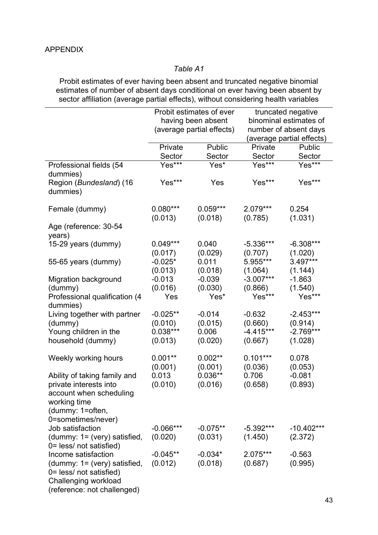## *Table A1*

Probit estimates of ever having been absent and truncated negative binomial estimates of number of absent days conditional on ever having been absent by sector affiliation (average partial effects), without considering health variables

|                               | Probit estimates of ever                                                 |            | truncated negative        |              |
|-------------------------------|--------------------------------------------------------------------------|------------|---------------------------|--------------|
|                               | having been absent<br>(average partial effects)<br>number of absent days |            | binominal estimates of    |              |
|                               |                                                                          |            |                           |              |
|                               |                                                                          |            | (average partial effects) |              |
|                               | Private                                                                  | Public     | Private                   | Public       |
|                               | Sector                                                                   | Sector     | Sector                    | Sector       |
| Professional fields (54       | Yes***                                                                   | Yes*       | Yes***                    | Yes***       |
| dummies)                      |                                                                          |            |                           |              |
| Region (Bundesland) (16       | Yes***                                                                   | Yes        | Yes***                    | Yes***       |
| dummies)                      |                                                                          |            |                           |              |
|                               |                                                                          |            |                           |              |
| Female (dummy)                | $0.080***$                                                               | $0.059***$ | 2.079***                  | 0.254        |
|                               | (0.013)                                                                  | (0.018)    | (0.785)                   | (1.031)      |
| Age (reference: 30-54         |                                                                          |            |                           |              |
| years)                        |                                                                          |            |                           |              |
| 15-29 years (dummy)           | $0.049***$                                                               | 0.040      | $-5.336***$               | $-6.308***$  |
|                               | (0.017)                                                                  | (0.029)    | (0.707)                   | (1.020)      |
| 55-65 years (dummy)           | $-0.025*$                                                                | 0.011      | 5.955***                  | $3.497***$   |
|                               | (0.013)                                                                  | (0.018)    | (1.064)                   | (1.144)      |
| Migration background          | $-0.013$                                                                 | $-0.039$   | $-3.007***$               | $-1.863$     |
| (dummy)                       | (0.016)                                                                  | (0.030)    | (0.866)                   | (1.540)      |
| Professional qualification (4 | Yes                                                                      | Yes*       | Yes***                    | Yes***       |
| dummies)                      |                                                                          |            |                           |              |
| Living together with partner  | $-0.025**$                                                               | $-0.014$   | $-0.632$                  | $-2.453***$  |
| (dummy)                       | (0.010)                                                                  | (0.015)    | (0.660)                   | (0.914)      |
| Young children in the         | $0.038***$                                                               | 0.006      | $-4.415***$               | $-2.769***$  |
| household (dummy)             | (0.013)                                                                  | (0.020)    | (0.667)                   | (1.028)      |
|                               |                                                                          |            |                           |              |
| Weekly working hours          | $0.001**$                                                                | $0.002**$  | $0.101***$                | 0.078        |
|                               | (0.001)                                                                  | (0.001)    | (0.036)                   | (0.053)      |
| Ability of taking family and  | 0.013                                                                    | $0.036**$  | 0.706                     | $-0.081$     |
| private interests into        | (0.010)                                                                  | (0.016)    | (0.658)                   | (0.893)      |
| account when scheduling       |                                                                          |            |                           |              |
| working time                  |                                                                          |            |                           |              |
| (dummy: 1=often,              |                                                                          |            |                           |              |
| 0=sometimes/never)            |                                                                          |            |                           |              |
| Job satisfaction              | $-0.066***$                                                              | $-0.075**$ | $-5.392***$               | $-10.402***$ |
| (dummy: 1= (very) satisfied,  | (0.020)                                                                  | (0.031)    | (1.450)                   | (2.372)      |
| 0= less/ not satisfied)       |                                                                          |            |                           |              |
| Income satisfaction           | $-0.045**$                                                               | $-0.034*$  | 2.075***                  | $-0.563$     |
| (dummy: 1= (very) satisfied,  | (0.012)                                                                  | (0.018)    | (0.687)                   | (0.995)      |
| 0= less/ not satisfied)       |                                                                          |            |                           |              |
| Challenging workload          |                                                                          |            |                           |              |
| (reference: not challenged)   |                                                                          |            |                           |              |
|                               |                                                                          |            |                           |              |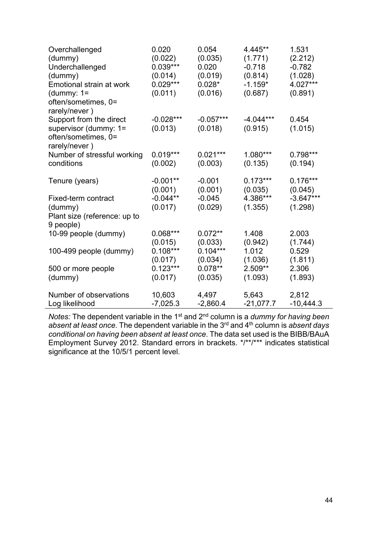| Overchallenged<br>(dummy)<br>Underchallenged<br>(dummy)<br>Emotional strain at work<br>(dummy: $1=$<br>often/sometimes, 0=<br>rarely/never) | 0.020<br>(0.022)<br>$0.039***$<br>(0.014)<br>$0.029***$<br>(0.011) | 0.054<br>(0.035)<br>0.020<br>(0.019)<br>$0.028*$<br>(0.016) | 4.445**<br>(1.771)<br>$-0.718$<br>(0.814)<br>$-1.159*$<br>(0.687) | 1.531<br>(2.212)<br>$-0.782$<br>(1.028)<br>4.027***<br>(0.891) |
|---------------------------------------------------------------------------------------------------------------------------------------------|--------------------------------------------------------------------|-------------------------------------------------------------|-------------------------------------------------------------------|----------------------------------------------------------------|
| Support from the direct<br>supervisor (dummy: 1=<br>often/sometimes, 0=                                                                     | $-0.028***$<br>(0.013)                                             | $-0.057***$<br>(0.018)                                      | $-4.044***$<br>(0.915)                                            | 0.454<br>(1.015)                                               |
| rarely/never)                                                                                                                               |                                                                    |                                                             |                                                                   |                                                                |
| Number of stressful working                                                                                                                 | $0.019***$                                                         | $0.021***$                                                  | 1.080***                                                          | 0.798***                                                       |
| conditions                                                                                                                                  | (0.002)                                                            | (0.003)                                                     | (0.135)                                                           | (0.194)                                                        |
| Tenure (years)                                                                                                                              | $-0.001**$<br>(0.001)                                              | $-0.001$<br>(0.001)                                         | $0.173***$<br>(0.035)                                             | $0.176***$<br>(0.045)                                          |
| Fixed-term contract                                                                                                                         | $-0.044**$                                                         | $-0.045$                                                    | 4.386***                                                          | $-3.647***$                                                    |
| (dummy)                                                                                                                                     | (0.017)                                                            | (0.029)                                                     | (1.355)                                                           | (1.298)                                                        |
| Plant size (reference: up to                                                                                                                |                                                                    |                                                             |                                                                   |                                                                |
| 9 people)                                                                                                                                   |                                                                    |                                                             |                                                                   |                                                                |
| 10-99 people (dummy)                                                                                                                        | $0.068***$<br>(0.015)                                              | $0.072**$<br>(0.033)                                        | 1.408<br>(0.942)                                                  | 2.003<br>(1.744)                                               |
| 100-499 people (dummy)                                                                                                                      | $0.108***$                                                         | $0.104***$                                                  | 1.012                                                             | 0.529                                                          |
|                                                                                                                                             | (0.017)                                                            | (0.034)                                                     | (1.036)                                                           | (1.811)                                                        |
| 500 or more people                                                                                                                          | $0.123***$                                                         | $0.078**$                                                   | 2.509**                                                           | 2.306                                                          |
| (dummy)                                                                                                                                     | (0.017)                                                            | (0.035)                                                     | (1.093)                                                           | (1.893)                                                        |
| Number of observations                                                                                                                      | 10,603                                                             | 4,497                                                       | 5,643                                                             | 2,812                                                          |
| Log likelihood                                                                                                                              | $-7,025.3$                                                         | $-2,860.4$                                                  | $-21,077.7$                                                       | $-10,444.3$                                                    |

*Notes:* The dependent variable in the 1st and 2nd column is a *dummy for having been absent at least once*. The dependent variable in the 3rd and 4th column is *absent days conditional on having been absent at least once*. The data set used is the BIBB/BAuA Employment Survey 2012. Standard errors in brackets. \*/\*\*/\*\*\* indicates statistical significance at the 10/5/1 percent level.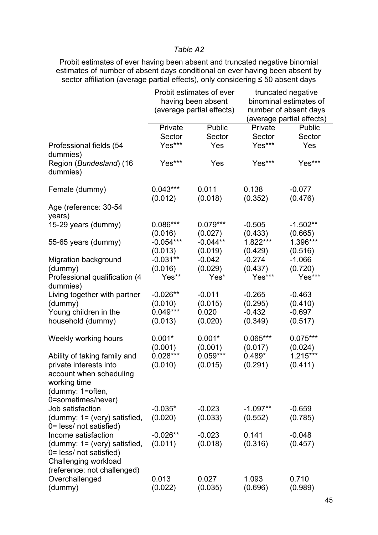## *Table A2*

Probit estimates of ever having been absent and truncated negative binomial estimates of number of absent days conditional on ever having been absent by sector affiliation (average partial effects), only considering ≤ 50 absent days

|                               | Probit estimates of ever |                           | truncated negative     |                           |
|-------------------------------|--------------------------|---------------------------|------------------------|---------------------------|
|                               | having been absent       |                           | binominal estimates of |                           |
|                               |                          | (average partial effects) | number of absent days  |                           |
|                               |                          |                           |                        | (average partial effects) |
|                               | Private                  | Public                    | Private                | Public                    |
|                               | Sector                   | Sector                    | Sector                 | Sector                    |
| Professional fields (54       | Yes***                   | Yes                       | Yes***                 | Yes                       |
| dummies)                      |                          |                           |                        |                           |
| Region (Bundesland) (16       | Yes***                   | Yes                       | Yes***                 | Yes***                    |
| dummies)                      |                          |                           |                        |                           |
|                               |                          |                           |                        |                           |
| Female (dummy)                | $0.043***$               | 0.011                     | 0.138                  | $-0.077$                  |
|                               | (0.012)                  | (0.018)                   | (0.352)                | (0.476)                   |
| Age (reference: 30-54         |                          |                           |                        |                           |
| years)                        |                          |                           |                        |                           |
| 15-29 years (dummy)           | $0.086***$               | $0.079***$                | $-0.505$               | $-1.502**$                |
|                               | (0.016)                  | (0.027)                   | (0.433)                | (0.665)                   |
| 55-65 years (dummy)           | $-0.054***$              | $-0.044**$                | $1.822***$             | 1.396***                  |
|                               | (0.013)                  | (0.019)                   | (0.429)                | (0.516)                   |
| Migration background          | $-0.031**$               | $-0.042$                  | $-0.274$               | $-1.066$                  |
| (dummy)                       | (0.016)                  | (0.029)                   | (0.437)                | (0.720)                   |
| Professional qualification (4 | Yes**                    | Yes*                      | Yes***                 | Yes***                    |
| dummies)                      |                          |                           |                        |                           |
| Living together with partner  | $-0.026**$               | $-0.011$                  | $-0.265$               | $-0.463$                  |
| (dummy)                       | (0.010)                  | (0.015)                   | (0.295)                | (0.410)                   |
| Young children in the         | $0.049***$               | 0.020                     | $-0.432$               | $-0.697$                  |
| household (dummy)             | (0.013)                  | (0.020)                   | (0.349)                | (0.517)                   |
|                               |                          |                           |                        |                           |
| Weekly working hours          | $0.001*$                 | $0.001*$                  | $0.065***$             | $0.075***$                |
|                               | (0.001)                  | (0.001)                   | (0.017)                | (0.024)                   |
| Ability of taking family and  | $0.028***$               | $0.059***$                | $0.489*$               | $1.215***$                |
| private interests into        | (0.010)                  | (0.015)                   | (0.291)                | (0.411)                   |
| account when scheduling       |                          |                           |                        |                           |
| working time                  |                          |                           |                        |                           |
| (dummy: 1=often,              |                          |                           |                        |                           |
| 0=sometimes/never)            |                          |                           |                        |                           |
| Job satisfaction              | $-0.035*$                | $-0.023$                  | $-1.097**$             | $-0.659$                  |
| (dummy: 1= (very) satisfied,  | (0.020)                  | (0.033)                   | (0.552)                | (0.785)                   |
| 0= less/ not satisfied)       |                          |                           |                        |                           |
| Income satisfaction           | $-0.026**$               | $-0.023$                  | 0.141                  | $-0.048$                  |
| (dummy: 1= (very) satisfied,  | (0.011)                  | (0.018)                   | (0.316)                | (0.457)                   |
| 0= less/ not satisfied)       |                          |                           |                        |                           |
| Challenging workload          |                          |                           |                        |                           |
| (reference: not challenged)   |                          |                           |                        |                           |
| Overchallenged                | 0.013                    | 0.027                     | 1.093                  | 0.710                     |
| (dummy)                       | (0.022)                  | (0.035)                   | (0.696)                | (0.989)                   |
|                               |                          |                           |                        |                           |